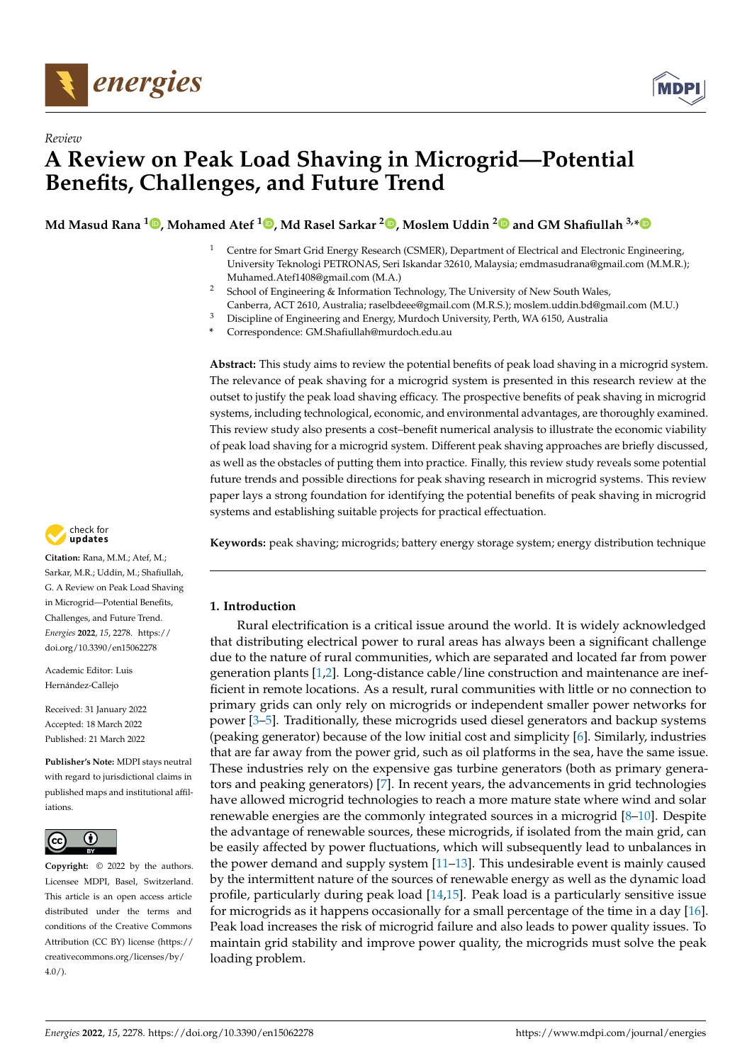



# *Review* **A Review on Peak Load Shaving in Microgrid—Potential Benefits, Challenges, and Future Trend**

**Md Masud Rana [1](https://orcid.org/0000-0001-8228-4390) , Mohamed Atef <sup>1</sup> [,](https://orcid.org/0000-0002-6267-0291) Md Rasel Sarkar <sup>2</sup> [,](https://orcid.org/0000-0003-0516-8593) Moslem Uddin [2](https://orcid.org/0000-0002-1693-011X) and GM Shafiullah 3,[\\*](https://orcid.org/0000-0002-2211-184X)**

- <sup>1</sup> Centre for Smart Grid Energy Research (CSMER), Department of Electrical and Electronic Engineering, University Teknologi PETRONAS, Seri Iskandar 32610, Malaysia; emdmasudrana@gmail.com (M.M.R.); Muhamed.Atef1408@gmail.com (M.A.)
- <sup>2</sup> School of Engineering & Information Technology, The University of New South Wales, Canberra, ACT 2610, Australia; raselbdeee@gmail.com (M.R.S.); moslem.uddin.bd@gmail.com (M.U.)
- <sup>3</sup> Discipline of Engineering and Energy, Murdoch University, Perth, WA 6150, Australia

**\*** Correspondence: GM.Shafiullah@murdoch.edu.au

**Abstract:** This study aims to review the potential benefits of peak load shaving in a microgrid system. The relevance of peak shaving for a microgrid system is presented in this research review at the outset to justify the peak load shaving efficacy. The prospective benefits of peak shaving in microgrid systems, including technological, economic, and environmental advantages, are thoroughly examined. This review study also presents a cost–benefit numerical analysis to illustrate the economic viability of peak load shaving for a microgrid system. Different peak shaving approaches are briefly discussed, as well as the obstacles of putting them into practice. Finally, this review study reveals some potential future trends and possible directions for peak shaving research in microgrid systems. This review paper lays a strong foundation for identifying the potential benefits of peak shaving in microgrid systems and establishing suitable projects for practical effectuation.



# **1. Introduction**

Rural electrification is a critical issue around the world. It is widely acknowledged that distributing electrical power to rural areas has always been a significant challenge due to the nature of rural communities, which are separated and located far from power generation plants [\[1](#page-12-0)[,2\]](#page-12-1). Long-distance cable/line construction and maintenance are inefficient in remote locations. As a result, rural communities with little or no connection to primary grids can only rely on microgrids or independent smaller power networks for power [\[3](#page-12-2)[–5\]](#page-12-3). Traditionally, these microgrids used diesel generators and backup systems (peaking generator) because of the low initial cost and simplicity [\[6\]](#page-12-4). Similarly, industries that are far away from the power grid, such as oil platforms in the sea, have the same issue. These industries rely on the expensive gas turbine generators (both as primary generators and peaking generators) [\[7\]](#page-12-5). In recent years, the advancements in grid technologies have allowed microgrid technologies to reach a more mature state where wind and solar renewable energies are the commonly integrated sources in a microgrid [\[8](#page-12-6)[–10\]](#page-12-7). Despite the advantage of renewable sources, these microgrids, if isolated from the main grid, can be easily affected by power fluctuations, which will subsequently lead to unbalances in the power demand and supply system [\[11](#page-12-8)[–13\]](#page-12-9). This undesirable event is mainly caused by the intermittent nature of the sources of renewable energy as well as the dynamic load profile, particularly during peak load [\[14,](#page-12-10)[15\]](#page-12-11). Peak load is a particularly sensitive issue for microgrids as it happens occasionally for a small percentage of the time in a day [\[16\]](#page-12-12). Peak load increases the risk of microgrid failure and also leads to power quality issues. To maintain grid stability and improve power quality, the microgrids must solve the peak loading problem.



**Citation:** Rana, M.M.; Atef, M.; Sarkar, M.R.; Uddin, M.; Shafiullah, G. A Review on Peak Load Shaving in Microgrid—Potential Benefits, Challenges, and Future Trend. *Energies* **2022**, *15*, 2278. [https://](https://doi.org/10.3390/en15062278) [doi.org/10.3390/en15062278](https://doi.org/10.3390/en15062278)

Academic Editor: Luis Hernández-Callejo

Received: 31 January 2022 Accepted: 18 March 2022 Published: 21 March 2022

**Publisher's Note:** MDPI stays neutral with regard to jurisdictional claims in published maps and institutional affiliations.



**Copyright:** © 2022 by the authors. Licensee MDPI, Basel, Switzerland. This article is an open access article distributed under the terms and conditions of the Creative Commons Attribution (CC BY) license [\(https://](https://creativecommons.org/licenses/by/4.0/) [creativecommons.org/licenses/by/](https://creativecommons.org/licenses/by/4.0/)  $4.0/$ ).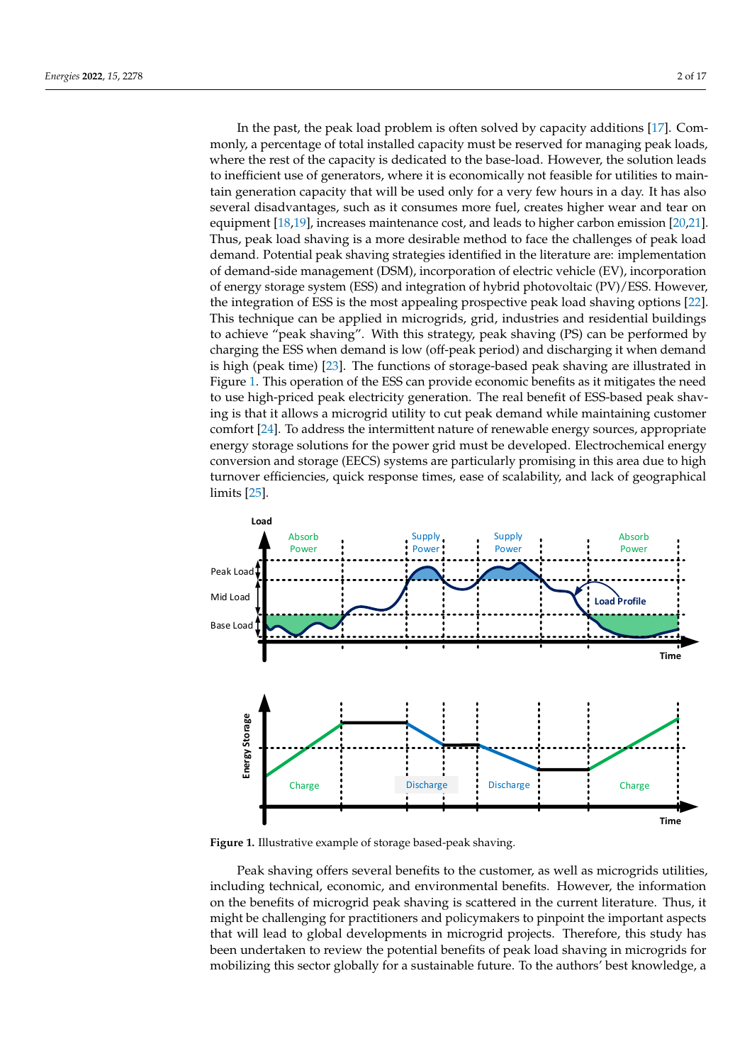In the past, the peak load problem is often solved by capacity additions [\[17\]](#page-12-13). Commonly, a percentage of total installed capacity must be reserved for managing peak loads, where the rest of the capacity is dedicated to the base-load. However, the solution leads to inefficient use of generators, where it is economically not feasible for utilities to maintain generation capacity that will be used only for a very few hours in a day. It has also several disadvantages, such as it consumes more fuel, creates higher wear and tear on equipment [\[18,](#page-13-0)[19\]](#page-13-1), increases maintenance cost, and leads to higher carbon emission [\[20](#page-13-2)[,21\]](#page-13-3). Thus, peak load shaving is a more desirable method to face the challenges of peak load demand. Potential peak shaving strategies identified in the literature are: implementation of demand-side management (DSM), incorporation of electric vehicle (EV), incorporation of energy storage system (ESS) and integration of hybrid photovoltaic (PV)/ESS. However, the integration of ESS is the most appealing prospective peak load shaving options [\[22\]](#page-13-4). This technique can be applied in microgrids, grid, industries and residential buildings to achieve "peak shaving". With this strategy, peak shaving (PS) can be performed by charging the ESS when demand is low (off-peak period) and discharging it when demand is high (peak time) [\[23\]](#page-13-5). The functions of storage-based peak shaving are illustrated in Figure [1.](#page-1-0) This operation of the ESS can provide economic benefits as it mitigates the need to use high-priced peak electricity generation. The real benefit of ESS-based peak shaving is that it allows a microgrid utility to cut peak demand while maintaining customer comfort [\[24\]](#page-13-6). To address the intermittent nature of renewable energy sources, appropriate energy storage solutions for the power grid must be developed. Electrochemical energy conversion and storage (EECS) systems are particularly promising in this area due to high turnover efficiencies, quick response times, ease of scalability, and lack of geographical limits [\[25\]](#page-13-7).

<span id="page-1-0"></span>

**Figure 1.** Illustrative example of storage based-peak shaving.

Peak shaving offers several benefits to the customer, as well as microgrids utilities, including technical, economic, and environmental benefits. However, the information on the benefits of microgrid peak shaving is scattered in the current literature. Thus, it might be challenging for practitioners and policymakers to pinpoint the important aspects that will lead to global developments in microgrid projects. Therefore, this study has been undertaken to review the potential benefits of peak load shaving in microgrids for mobilizing this sector globally for a sustainable future. To the authors' best knowledge, a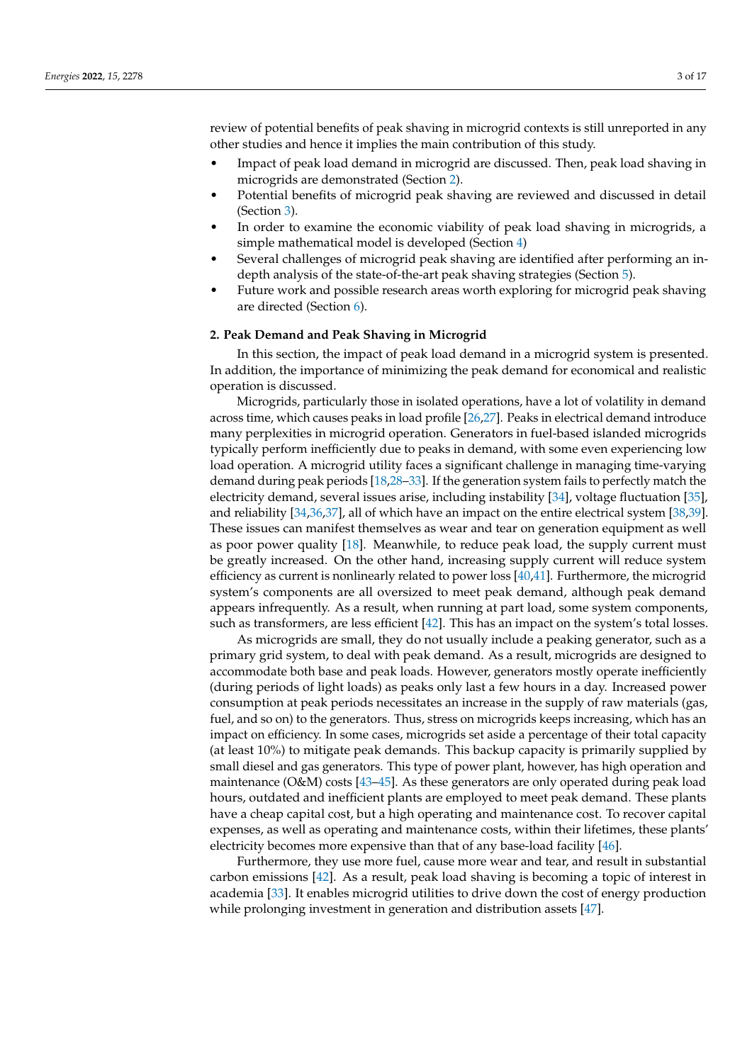review of potential benefits of peak shaving in microgrid contexts is still unreported in any other studies and hence it implies the main contribution of this study.

- Impact of peak load demand in microgrid are discussed. Then, peak load shaving in microgrids are demonstrated (Section [2\)](#page-2-0).
- Potential benefits of microgrid peak shaving are reviewed and discussed in detail (Section [3\)](#page-3-0).
- In order to examine the economic viability of peak load shaving in microgrids, a simple mathematical model is developed (Section [4\)](#page-5-0)
- Several challenges of microgrid peak shaving are identified after performing an indepth analysis of the state-of-the-art peak shaving strategies (Section [5\)](#page-7-0).
- Future work and possible research areas worth exploring for microgrid peak shaving are directed (Section [6\)](#page-10-0).

#### <span id="page-2-0"></span>**2. Peak Demand and Peak Shaving in Microgrid**

In this section, the impact of peak load demand in a microgrid system is presented. In addition, the importance of minimizing the peak demand for economical and realistic operation is discussed.

Microgrids, particularly those in isolated operations, have a lot of volatility in demand across time, which causes peaks in load profile [\[26](#page-13-8)[,27\]](#page-13-9). Peaks in electrical demand introduce many perplexities in microgrid operation. Generators in fuel-based islanded microgrids typically perform inefficiently due to peaks in demand, with some even experiencing low load operation. A microgrid utility faces a significant challenge in managing time-varying demand during peak periods [\[18](#page-13-0)[,28–](#page-13-10)[33\]](#page-13-11). If the generation system fails to perfectly match the electricity demand, several issues arise, including instability [\[34\]](#page-13-12), voltage fluctuation [\[35\]](#page-13-13), and reliability [\[34](#page-13-12)[,36](#page-13-14)[,37\]](#page-13-15), all of which have an impact on the entire electrical system [\[38](#page-13-16)[,39\]](#page-13-17). These issues can manifest themselves as wear and tear on generation equipment as well as poor power quality [\[18\]](#page-13-0). Meanwhile, to reduce peak load, the supply current must be greatly increased. On the other hand, increasing supply current will reduce system efficiency as current is nonlinearly related to power loss [\[40](#page-13-18)[,41\]](#page-13-19). Furthermore, the microgrid system's components are all oversized to meet peak demand, although peak demand appears infrequently. As a result, when running at part load, some system components, such as transformers, are less efficient [\[42\]](#page-13-20). This has an impact on the system's total losses.

As microgrids are small, they do not usually include a peaking generator, such as a primary grid system, to deal with peak demand. As a result, microgrids are designed to accommodate both base and peak loads. However, generators mostly operate inefficiently (during periods of light loads) as peaks only last a few hours in a day. Increased power consumption at peak periods necessitates an increase in the supply of raw materials (gas, fuel, and so on) to the generators. Thus, stress on microgrids keeps increasing, which has an impact on efficiency. In some cases, microgrids set aside a percentage of their total capacity (at least 10%) to mitigate peak demands. This backup capacity is primarily supplied by small diesel and gas generators. This type of power plant, however, has high operation and maintenance (O&M) costs [\[43–](#page-13-21)[45\]](#page-14-0). As these generators are only operated during peak load hours, outdated and inefficient plants are employed to meet peak demand. These plants have a cheap capital cost, but a high operating and maintenance cost. To recover capital expenses, as well as operating and maintenance costs, within their lifetimes, these plants' electricity becomes more expensive than that of any base-load facility [\[46\]](#page-14-1).

Furthermore, they use more fuel, cause more wear and tear, and result in substantial carbon emissions [\[42\]](#page-13-20). As a result, peak load shaving is becoming a topic of interest in academia [\[33\]](#page-13-11). It enables microgrid utilities to drive down the cost of energy production while prolonging investment in generation and distribution assets [\[47\]](#page-14-2).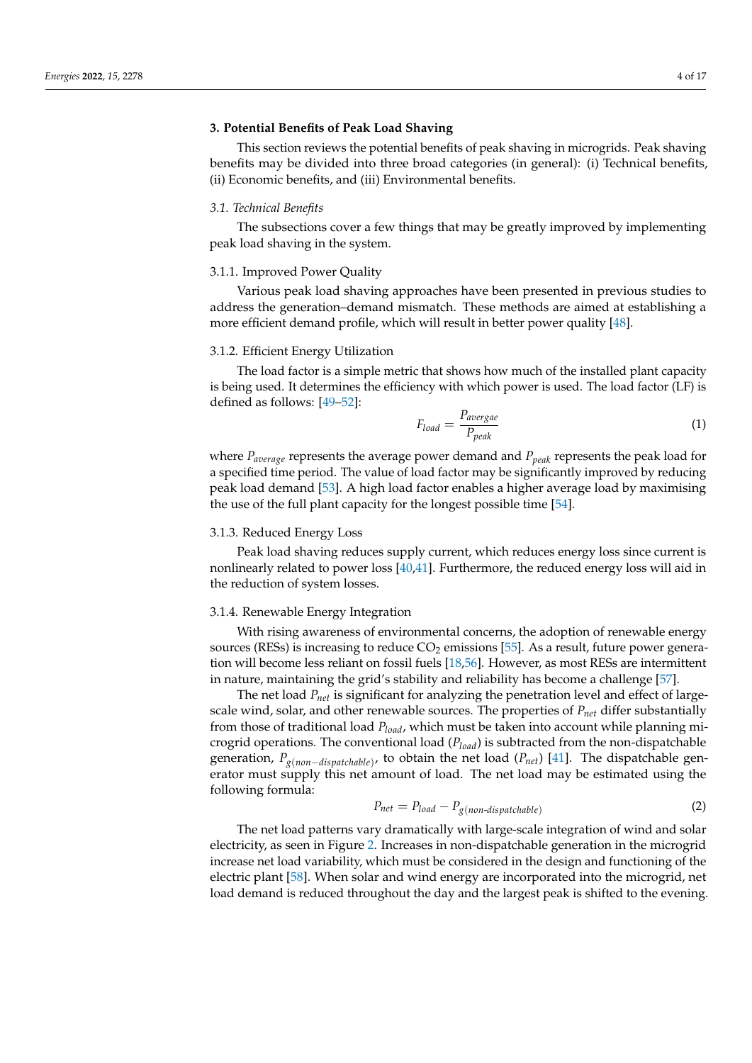#### <span id="page-3-0"></span>**3. Potential Benefits of Peak Load Shaving**

This section reviews the potential benefits of peak shaving in microgrids. Peak shaving benefits may be divided into three broad categories (in general): (i) Technical benefits, (ii) Economic benefits, and (iii) Environmental benefits.

#### *3.1. Technical Benefits*

The subsections cover a few things that may be greatly improved by implementing peak load shaving in the system.

#### 3.1.1. Improved Power Quality

Various peak load shaving approaches have been presented in previous studies to address the generation–demand mismatch. These methods are aimed at establishing a more efficient demand profile, which will result in better power quality [\[48\]](#page-14-3).

# 3.1.2. Efficient Energy Utilization

The load factor is a simple metric that shows how much of the installed plant capacity is being used. It determines the efficiency with which power is used. The load factor (LF) is defined as follows: [\[49](#page-14-4)[–52\]](#page-14-5):

$$
F_{load} = \frac{P_{average}}{P_{peak}}\tag{1}
$$

where *Paverage* represents the average power demand and *Ppeak* represents the peak load for a specified time period. The value of load factor may be significantly improved by reducing peak load demand [\[53\]](#page-14-6). A high load factor enables a higher average load by maximising the use of the full plant capacity for the longest possible time [\[54\]](#page-14-7).

### 3.1.3. Reduced Energy Loss

Peak load shaving reduces supply current, which reduces energy loss since current is nonlinearly related to power loss [\[40,](#page-13-18)[41\]](#page-13-19). Furthermore, the reduced energy loss will aid in the reduction of system losses.

## 3.1.4. Renewable Energy Integration

With rising awareness of environmental concerns, the adoption of renewable energy sources (RESs) is increasing to reduce  $CO<sub>2</sub>$  emissions [\[55\]](#page-14-8). As a result, future power generation will become less reliant on fossil fuels [\[18](#page-13-0)[,56\]](#page-14-9). However, as most RESs are intermittent in nature, maintaining the grid's stability and reliability has become a challenge [\[57\]](#page-14-10).

The net load *Pnet* is significant for analyzing the penetration level and effect of largescale wind, solar, and other renewable sources. The properties of *Pnet* differ substantially from those of traditional load *Pload*, which must be taken into account while planning microgrid operations. The conventional load (*Pload*) is subtracted from the non-dispatchable generation, *Pg*(*non*−*dispatchable*) , to obtain the net load (*Pnet*) [\[41\]](#page-13-19). The dispatchable generator must supply this net amount of load. The net load may be estimated using the following formula:

$$
P_{net} = P_{load} - P_{g(non-dispatchable)}
$$
 (2)

The net load patterns vary dramatically with large-scale integration of wind and solar electricity, as seen in Figure [2.](#page-4-0) Increases in non-dispatchable generation in the microgrid increase net load variability, which must be considered in the design and functioning of the electric plant [\[58\]](#page-14-11). When solar and wind energy are incorporated into the microgrid, net load demand is reduced throughout the day and the largest peak is shifted to the evening.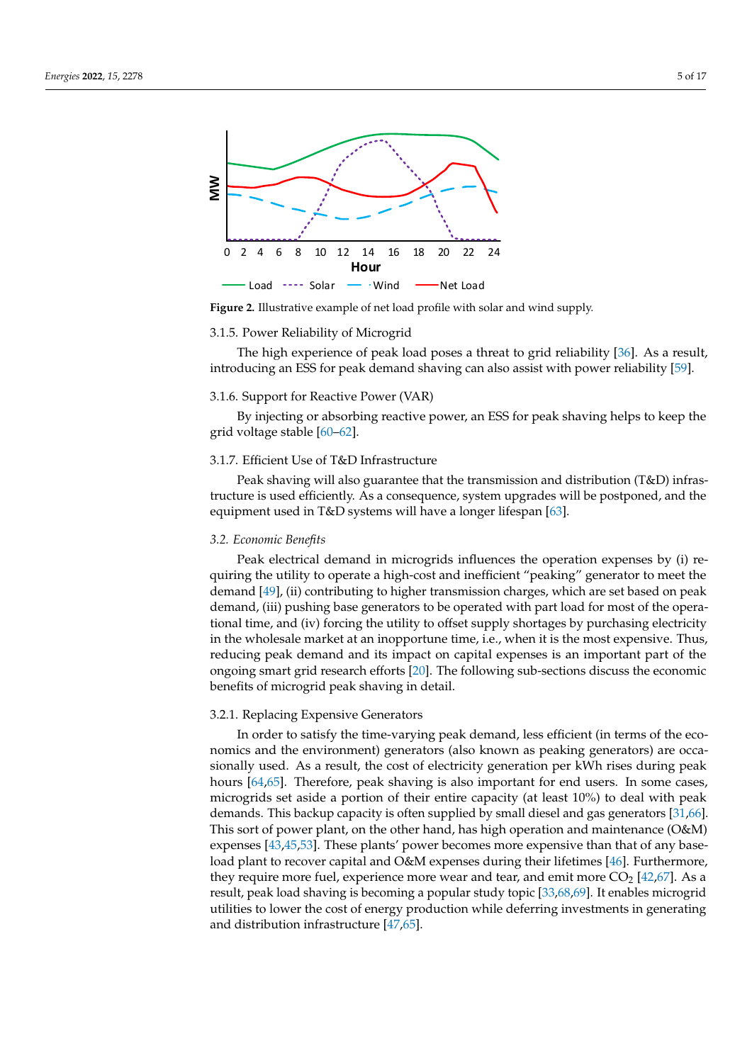<span id="page-4-0"></span>

**Figure 2.** Illustrative example of net load profile with solar and wind supply.

#### 3.1.5. Power Reliability of Microgrid

The high experience of peak load poses a threat to grid reliability [\[36\]](#page-13-14). As a result, introducing an ESS for peak demand shaving can also assist with power reliability [\[59\]](#page-14-12).

#### 3.1.6. Support for Reactive Power (VAR)

By injecting or absorbing reactive power, an ESS for peak shaving helps to keep the grid voltage stable [\[60–](#page-14-13)[62\]](#page-14-14).

### 3.1.7. Efficient Use of T&D Infrastructure

Peak shaving will also guarantee that the transmission and distribution (T&D) infrastructure is used efficiently. As a consequence, system upgrades will be postponed, and the equipment used in T&D systems will have a longer lifespan [\[63\]](#page-14-15).

### *3.2. Economic Benefits*

Peak electrical demand in microgrids influences the operation expenses by (i) requiring the utility to operate a high-cost and inefficient "peaking" generator to meet the demand [\[49\]](#page-14-4), (ii) contributing to higher transmission charges, which are set based on peak demand, (iii) pushing base generators to be operated with part load for most of the operational time, and (iv) forcing the utility to offset supply shortages by purchasing electricity in the wholesale market at an inopportune time, i.e., when it is the most expensive. Thus, reducing peak demand and its impact on capital expenses is an important part of the ongoing smart grid research efforts [\[20\]](#page-13-2). The following sub-sections discuss the economic benefits of microgrid peak shaving in detail.

#### 3.2.1. Replacing Expensive Generators

In order to satisfy the time-varying peak demand, less efficient (in terms of the economics and the environment) generators (also known as peaking generators) are occasionally used. As a result, the cost of electricity generation per kWh rises during peak hours [\[64,](#page-14-16)[65\]](#page-14-17). Therefore, peak shaving is also important for end users. In some cases, microgrids set aside a portion of their entire capacity (at least 10%) to deal with peak demands. This backup capacity is often supplied by small diesel and gas generators [\[31](#page-13-22)[,66\]](#page-14-18). This sort of power plant, on the other hand, has high operation and maintenance (O&M) expenses [\[43,](#page-13-21)[45,](#page-14-0)[53\]](#page-14-6). These plants' power becomes more expensive than that of any base-load plant to recover capital and O&M expenses during their lifetimes [\[46\]](#page-14-1). Furthermore, they require more fuel, experience more wear and tear, and emit more  $CO<sub>2</sub>$  [\[42](#page-13-20)[,67\]](#page-14-19). As a result, peak load shaving is becoming a popular study topic [\[33,](#page-13-11)[68,](#page-14-20)[69\]](#page-14-21). It enables microgrid utilities to lower the cost of energy production while deferring investments in generating and distribution infrastructure [\[47,](#page-14-2)[65\]](#page-14-17).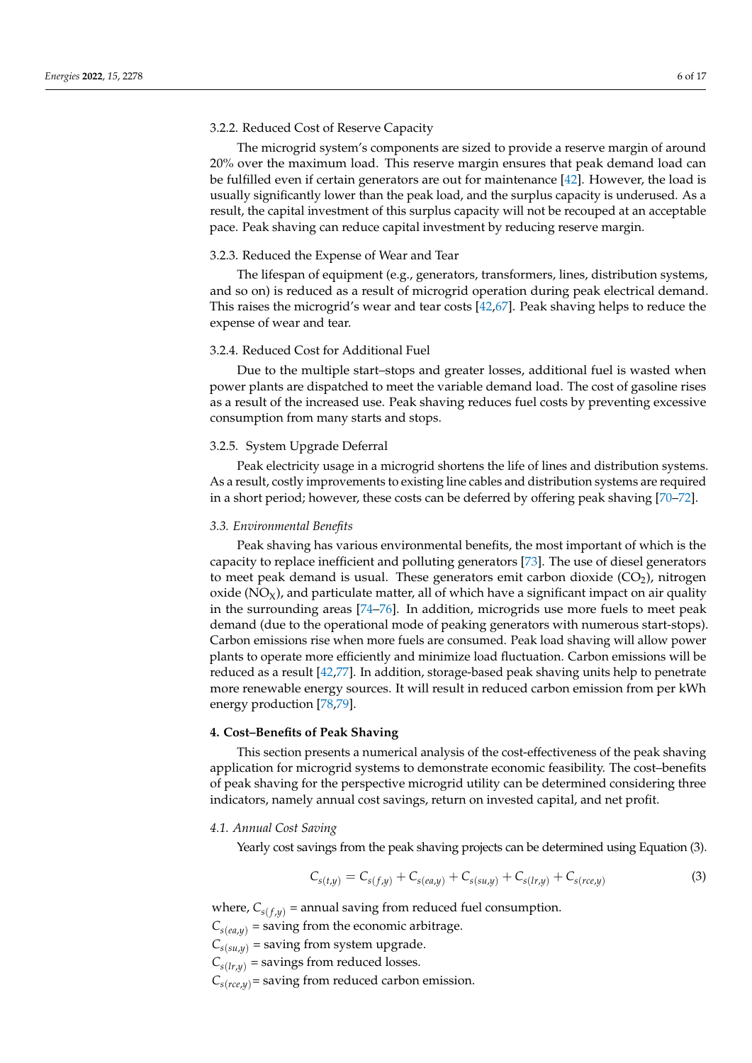#### 3.2.2. Reduced Cost of Reserve Capacity

The microgrid system's components are sized to provide a reserve margin of around 20% over the maximum load. This reserve margin ensures that peak demand load can be fulfilled even if certain generators are out for maintenance [\[42\]](#page-13-20). However, the load is usually significantly lower than the peak load, and the surplus capacity is underused. As a result, the capital investment of this surplus capacity will not be recouped at an acceptable pace. Peak shaving can reduce capital investment by reducing reserve margin.

# 3.2.3. Reduced the Expense of Wear and Tear

The lifespan of equipment (e.g., generators, transformers, lines, distribution systems, and so on) is reduced as a result of microgrid operation during peak electrical demand. This raises the microgrid's wear and tear costs [\[42](#page-13-20)[,67\]](#page-14-19). Peak shaving helps to reduce the expense of wear and tear.

#### 3.2.4. Reduced Cost for Additional Fuel

Due to the multiple start–stops and greater losses, additional fuel is wasted when power plants are dispatched to meet the variable demand load. The cost of gasoline rises as a result of the increased use. Peak shaving reduces fuel costs by preventing excessive consumption from many starts and stops.

# 3.2.5. System Upgrade Deferral

Peak electricity usage in a microgrid shortens the life of lines and distribution systems. As a result, costly improvements to existing line cables and distribution systems are required in a short period; however, these costs can be deferred by offering peak shaving [\[70](#page-14-22)[–72\]](#page-14-23).

#### *3.3. Environmental Benefits*

Peak shaving has various environmental benefits, the most important of which is the capacity to replace inefficient and polluting generators [\[73\]](#page-14-24). The use of diesel generators to meet peak demand is usual. These generators emit carbon dioxide  $(CO<sub>2</sub>)$ , nitrogen oxide  $(NO_X)$ , and particulate matter, all of which have a significant impact on air quality in the surrounding areas [\[74–](#page-15-0)[76\]](#page-15-1). In addition, microgrids use more fuels to meet peak demand (due to the operational mode of peaking generators with numerous start-stops). Carbon emissions rise when more fuels are consumed. Peak load shaving will allow power plants to operate more efficiently and minimize load fluctuation. Carbon emissions will be reduced as a result [\[42](#page-13-20)[,77\]](#page-15-2). In addition, storage-based peak shaving units help to penetrate more renewable energy sources. It will result in reduced carbon emission from per kWh energy production [\[78](#page-15-3)[,79\]](#page-15-4).

#### <span id="page-5-0"></span>**4. Cost–Benefits of Peak Shaving**

This section presents a numerical analysis of the cost-effectiveness of the peak shaving application for microgrid systems to demonstrate economic feasibility. The cost–benefits of peak shaving for the perspective microgrid utility can be determined considering three indicators, namely annual cost savings, return on invested capital, and net profit.

#### *4.1. Annual Cost Saving*

Yearly cost savings from the peak shaving projects can be determined using Equation (3).

$$
C_{s(t,y)} = C_{s(f,y)} + C_{s(ea,y)} + C_{s(su,y)} + C_{s(tr,y)} + C_{s(ree,y)}
$$
\n(3)

where,  $C_{s(f, y)}$  = annual saving from reduced fuel consumption.

 $C_{s(ea,y)}$  = saving from the economic arbitrage.

 $C_{s(su,y)}$  = saving from system upgrade.

 $C_{s(lr,\nu)}$  = savings from reduced losses.

 $C_{s(ree,v)}$  = saving from reduced carbon emission.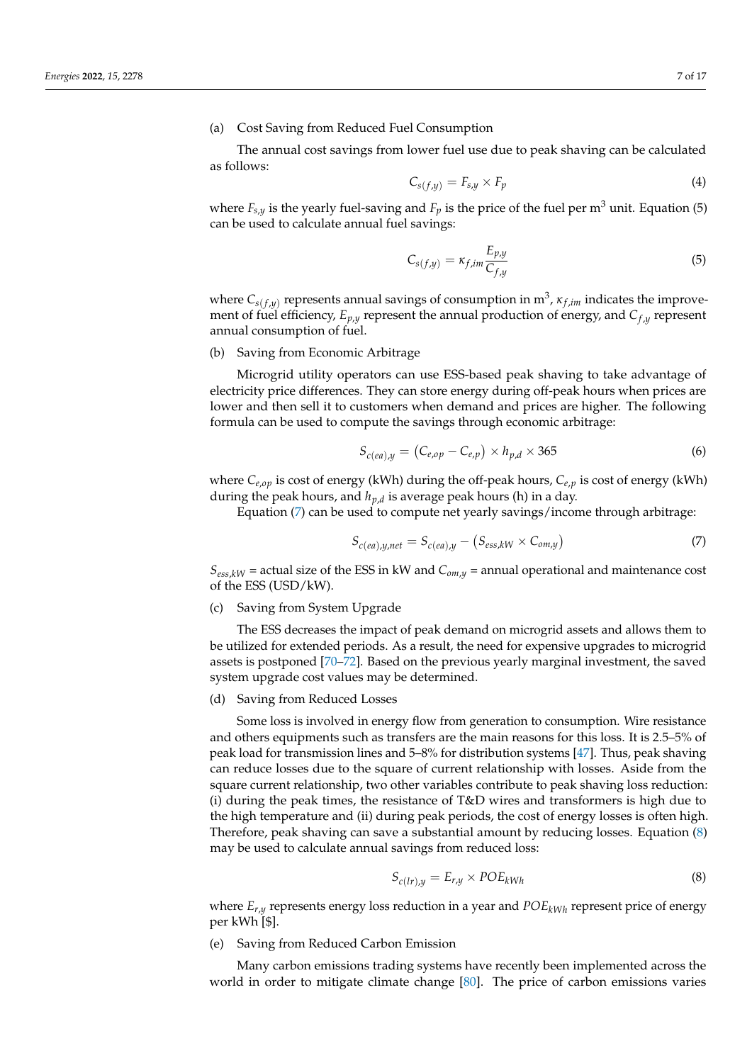### (a) Cost Saving from Reduced Fuel Consumption

The annual cost savings from lower fuel use due to peak shaving can be calculated as follows:

$$
C_{s(f,y)} = F_{s,y} \times F_p \tag{4}
$$

where  $F_{s,y}$  is the yearly fuel-saving and  $F_p$  is the price of the fuel per  $m<sup>3</sup>$  unit. Equation (5) can be used to calculate annual fuel savings:

$$
C_{s(f,y)} = \kappa_{f,im} \frac{E_{p,y}}{C_{f,y}}
$$
\n(5)

where *Cs*(*<sup>f</sup>* ,*y*) represents annual savings of consumption in m<sup>3</sup> , *κ <sup>f</sup>* ,*im* indicates the improvement of fuel efficiency, *Ep*,*<sup>y</sup>* represent the annual production of energy, and *C<sup>f</sup>* ,*<sup>y</sup>* represent annual consumption of fuel.

#### (b) Saving from Economic Arbitrage

Microgrid utility operators can use ESS-based peak shaving to take advantage of electricity price differences. They can store energy during off-peak hours when prices are lower and then sell it to customers when demand and prices are higher. The following formula can be used to compute the savings through economic arbitrage:

$$
S_{c(ea),y} = (C_{e,op} - C_{e,p}) \times h_{p,d} \times 365
$$
 (6)

where *Ce*,*op* is cost of energy (kWh) during the off-peak hours, *Ce*,*<sup>p</sup>* is cost of energy (kWh) during the peak hours*,* and  $h_{p,d}$  is average peak hours (h) in a day.

Equation  $(7)$  can be used to compute net yearly savings/income through arbitrage:

<span id="page-6-0"></span>
$$
S_{c(ea),y,net} = S_{c(ea),y} - (S_{ess,kW} \times C_{om,y})
$$
\n(7)

 $S_{\text{ess,kW}}$  = actual size of the ESS in kW and  $C_{\text{om},y}$  = annual operational and maintenance cost of the ESS (USD/kW).

#### (c) Saving from System Upgrade

The ESS decreases the impact of peak demand on microgrid assets and allows them to be utilized for extended periods. As a result, the need for expensive upgrades to microgrid assets is postponed [\[70–](#page-14-22)[72\]](#page-14-23). Based on the previous yearly marginal investment, the saved system upgrade cost values may be determined.

#### (d) Saving from Reduced Losses

Some loss is involved in energy flow from generation to consumption. Wire resistance and others equipments such as transfers are the main reasons for this loss. It is 2.5–5% of peak load for transmission lines and 5–8% for distribution systems [\[47\]](#page-14-2). Thus, peak shaving can reduce losses due to the square of current relationship with losses. Aside from the square current relationship, two other variables contribute to peak shaving loss reduction: (i) during the peak times, the resistance of T&D wires and transformers is high due to the high temperature and (ii) during peak periods, the cost of energy losses is often high. Therefore, peak shaving can save a substantial amount by reducing losses. Equation [\(8\)](#page-6-1) may be used to calculate annual savings from reduced loss:

<span id="page-6-1"></span>
$$
S_{c(lr),y} = E_{r,y} \times POE_{kWh}
$$
\n(8)

where *Er*,*<sup>y</sup>* represents energy loss reduction in a year and *POEkWh* represent price of energy per kWh [\$].

(e) Saving from Reduced Carbon Emission

Many carbon emissions trading systems have recently been implemented across the world in order to mitigate climate change [\[80\]](#page-15-5). The price of carbon emissions varies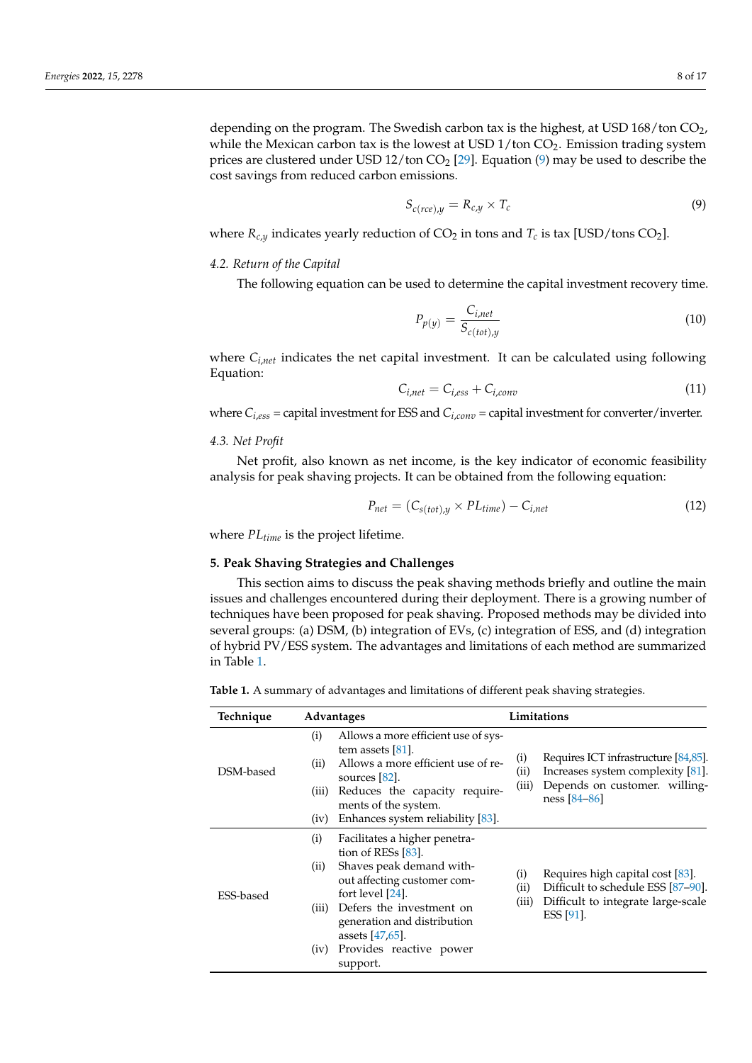depending on the program. The Swedish carbon tax is the highest, at USD  $168/t$ on  $CO<sub>2</sub>$ , while the Mexican carbon tax is the lowest at USD  $1$ /ton CO<sub>2</sub>. Emission trading system prices are clustered under USD 12/ton  $CO<sub>2</sub>$  [\[29\]](#page-13-23). Equation [\(9\)](#page-7-1) may be used to describe the cost savings from reduced carbon emissions.

<span id="page-7-1"></span>
$$
S_{c(rec),y} = R_{c,y} \times T_c \tag{9}
$$

where  $R_{c,y}$  indicates yearly reduction of  $CO_2$  in tons and  $T_c$  is tax [USD/tons  $CO_2$ ].

#### *4.2. Return of the Capital*

The following equation can be used to determine the capital investment recovery time.

$$
P_{p(y)} = \frac{C_{i,net}}{S_{c(tot),y}}
$$
\n(10)

where *Ci*,*net* indicates the net capital investment. It can be calculated using following Equation:

$$
C_{i,net} = C_{i,ess} + C_{i,conv}
$$
 (11)

where  $C_{i,ess}$  = capital investment for ESS and  $C_{i,conv}$  = capital investment for converter/inverter.

#### *4.3. Net Profit*

Net profit, also known as net income, is the key indicator of economic feasibility analysis for peak shaving projects. It can be obtained from the following equation:

$$
P_{net} = (C_{s(tot),y} \times PL_{time}) - C_{i,net}
$$
\n(12)

where *PLtime* is the project lifetime.

# <span id="page-7-0"></span>**5. Peak Shaving Strategies and Challenges**

This section aims to discuss the peak shaving methods briefly and outline the main issues and challenges encountered during their deployment. There is a growing number of techniques have been proposed for peak shaving. Proposed methods may be divided into several groups: (a) DSM, (b) integration of EVs, (c) integration of ESS, and (d) integration of hybrid PV/ESS system. The advantages and limitations of each method are summarized in Table [1.](#page-8-0)

**Table 1.** A summary of advantages and limitations of different peak shaving strategies.

| Technique | Advantages                                                                                                                                                                                                                                                                                    | Limitations                                                                                                                                            |
|-----------|-----------------------------------------------------------------------------------------------------------------------------------------------------------------------------------------------------------------------------------------------------------------------------------------------|--------------------------------------------------------------------------------------------------------------------------------------------------------|
| DSM-based | Allows a more efficient use of sys-<br>(i)<br>tem assets $[81]$ .<br>Allows a more efficient use of re-<br>(ii)<br>sources $[82]$ .<br>Reduces the capacity require-<br>(iii)<br>ments of the system.                                                                                         | Requires ICT infrastructure [84,85].<br>(i)<br>(ii)<br>Increases system complexity [81].<br>(iii)<br>Depends on customer. willing-<br>$ness [84 - 86]$ |
|           | Enhances system reliability [83].<br>(iv)                                                                                                                                                                                                                                                     |                                                                                                                                                        |
| ESS-based | (i)<br>Facilitates a higher penetra-<br>tion of RESs $[83]$ .<br>Shaves peak demand with-<br>(ii)<br>out affecting customer com-<br>fort level [24].<br>Defers the investment on<br>(iii)<br>generation and distribution<br>assets $[47,65]$ .<br>Provides reactive power<br>(iv)<br>support. | Requires high capital cost [83].<br>(i)<br>Difficult to schedule ESS [87-90].<br>(ii)<br>Difficult to integrate large-scale<br>(iii)<br>ESS [91].      |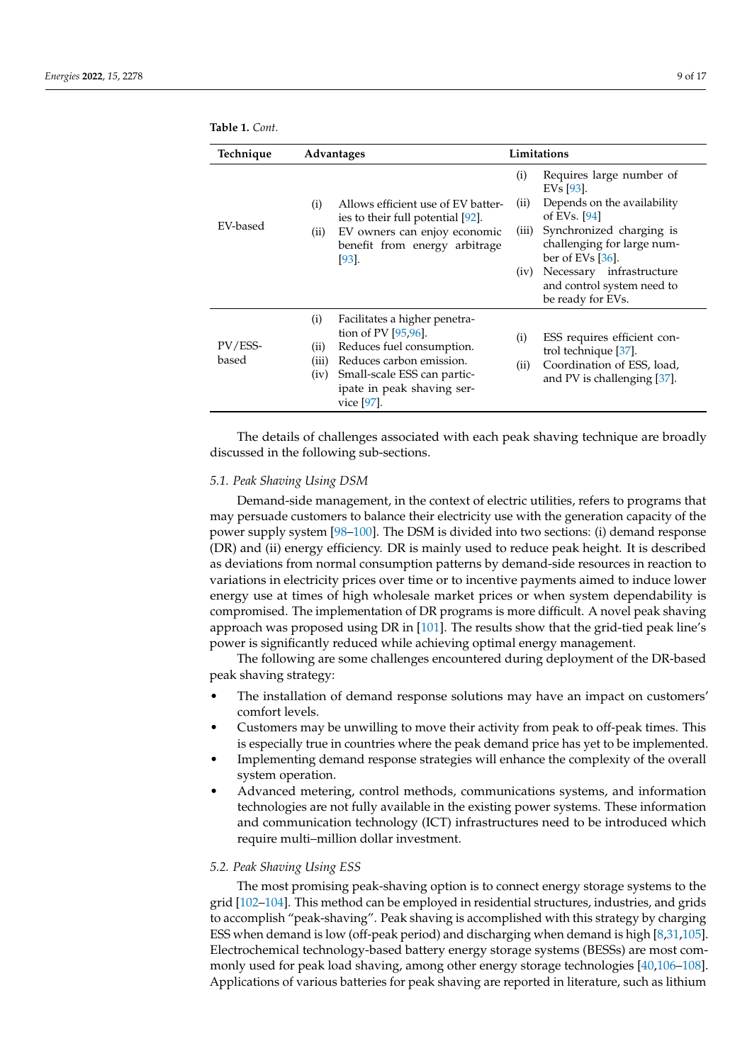<span id="page-8-0"></span>

|  | <b>Table 1.</b> Cont. |  |
|--|-----------------------|--|
|  |                       |  |

| Technique        | <b>Advantages</b>                                                                                                                                                                                                           | Limitations                                                                                                                                                                                                                                                                                        |
|------------------|-----------------------------------------------------------------------------------------------------------------------------------------------------------------------------------------------------------------------------|----------------------------------------------------------------------------------------------------------------------------------------------------------------------------------------------------------------------------------------------------------------------------------------------------|
| EV-based         | Allows efficient use of EV batter-<br>(i)<br>ies to their full potential [92].<br>EV owners can enjoy economic<br>(ii)<br>benefit from energy arbitrage<br>[93].                                                            | Requires large number of<br>(i)<br>EV <sub>s</sub> [93].<br>Depends on the availability<br>(11)<br>of EVs. $[94]$<br>Synchronized charging is<br>(iii)<br>challenging for large num-<br>ber of EVs $[36]$ .<br>Necessary infrastructure<br>(iv)<br>and control system need to<br>be ready for EVs. |
| PV/ESS-<br>based | (i)<br>Facilitates a higher penetra-<br>tion of PV $[95,96]$ .<br>Reduces fuel consumption.<br>(ii)<br>(iii)<br>Reduces carbon emission.<br>Small-scale ESS can partic-<br>(iv)<br>ipate in peak shaving ser-<br>vice [97]. | (i)<br>ESS requires efficient con-<br>trol technique [37].<br>Coordination of ESS, load,<br>(ii)<br>and PV is challenging [37].                                                                                                                                                                    |

The details of challenges associated with each peak shaving technique are broadly discussed in the following sub-sections.

#### *5.1. Peak Shaving Using DSM*

Demand-side management, in the context of electric utilities, refers to programs that may persuade customers to balance their electricity use with the generation capacity of the power supply system [\[98–](#page-15-21)[100\]](#page-15-22). The DSM is divided into two sections: (i) demand response (DR) and (ii) energy efficiency. DR is mainly used to reduce peak height. It is described as deviations from normal consumption patterns by demand-side resources in reaction to variations in electricity prices over time or to incentive payments aimed to induce lower energy use at times of high wholesale market prices or when system dependability is compromised. The implementation of DR programs is more difficult. A novel peak shaving approach was proposed using DR in [\[101\]](#page-15-23). The results show that the grid-tied peak line's power is significantly reduced while achieving optimal energy management.

The following are some challenges encountered during deployment of the DR-based peak shaving strategy:

- The installation of demand response solutions may have an impact on customers' comfort levels.
- Customers may be unwilling to move their activity from peak to off-peak times. This is especially true in countries where the peak demand price has yet to be implemented.
- Implementing demand response strategies will enhance the complexity of the overall system operation.
- Advanced metering, control methods, communications systems, and information technologies are not fully available in the existing power systems. These information and communication technology (ICT) infrastructures need to be introduced which require multi–million dollar investment.

#### *5.2. Peak Shaving Using ESS*

The most promising peak-shaving option is to connect energy storage systems to the grid [\[102–](#page-16-0)[104\]](#page-16-1). This method can be employed in residential structures, industries, and grids to accomplish "peak-shaving". Peak shaving is accomplished with this strategy by charging ESS when demand is low (off-peak period) and discharging when demand is high [\[8,](#page-12-6)[31](#page-13-22)[,105\]](#page-16-2). Electrochemical technology-based battery energy storage systems (BESSs) are most commonly used for peak load shaving, among other energy storage technologies [\[40](#page-13-18)[,106](#page-16-3)[–108\]](#page-16-4). Applications of various batteries for peak shaving are reported in literature, such as lithium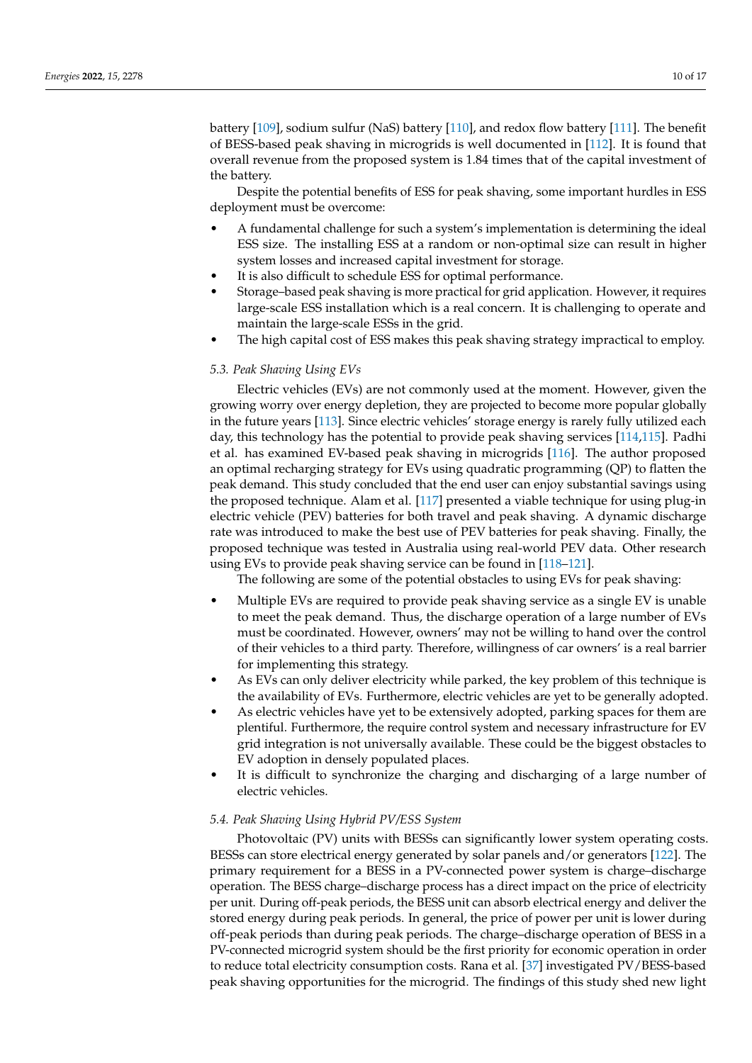battery [\[109\]](#page-16-5), sodium sulfur (NaS) battery [\[110\]](#page-16-6), and redox flow battery [\[111\]](#page-16-7). The benefit of BESS-based peak shaving in microgrids is well documented in [\[112\]](#page-16-8). It is found that overall revenue from the proposed system is 1.84 times that of the capital investment of the battery.

Despite the potential benefits of ESS for peak shaving, some important hurdles in ESS deployment must be overcome:

- A fundamental challenge for such a system's implementation is determining the ideal ESS size. The installing ESS at a random or non-optimal size can result in higher system losses and increased capital investment for storage.
- It is also difficult to schedule ESS for optimal performance.
- Storage–based peak shaving is more practical for grid application. However, it requires large-scale ESS installation which is a real concern. It is challenging to operate and maintain the large-scale ESSs in the grid.
- The high capital cost of ESS makes this peak shaving strategy impractical to employ.

### *5.3. Peak Shaving Using EVs*

Electric vehicles (EVs) are not commonly used at the moment. However, given the growing worry over energy depletion, they are projected to become more popular globally in the future years [\[113\]](#page-16-9). Since electric vehicles' storage energy is rarely fully utilized each day, this technology has the potential to provide peak shaving services [\[114](#page-16-10)[,115\]](#page-16-11). Padhi et al. has examined EV-based peak shaving in microgrids [\[116\]](#page-16-12). The author proposed an optimal recharging strategy for EVs using quadratic programming (QP) to flatten the peak demand. This study concluded that the end user can enjoy substantial savings using the proposed technique. Alam et al. [\[117\]](#page-16-13) presented a viable technique for using plug-in electric vehicle (PEV) batteries for both travel and peak shaving. A dynamic discharge rate was introduced to make the best use of PEV batteries for peak shaving. Finally, the proposed technique was tested in Australia using real-world PEV data. Other research using EVs to provide peak shaving service can be found in [\[118–](#page-16-14)[121\]](#page-16-15).

The following are some of the potential obstacles to using EVs for peak shaving:

- Multiple EVs are required to provide peak shaving service as a single EV is unable to meet the peak demand. Thus, the discharge operation of a large number of EVs must be coordinated. However, owners' may not be willing to hand over the control of their vehicles to a third party. Therefore, willingness of car owners' is a real barrier for implementing this strategy.
- As EVs can only deliver electricity while parked, the key problem of this technique is the availability of EVs. Furthermore, electric vehicles are yet to be generally adopted.
- As electric vehicles have yet to be extensively adopted, parking spaces for them are plentiful. Furthermore, the require control system and necessary infrastructure for EV grid integration is not universally available. These could be the biggest obstacles to EV adoption in densely populated places.
- It is difficult to synchronize the charging and discharging of a large number of electric vehicles.

# *5.4. Peak Shaving Using Hybrid PV/ESS System*

Photovoltaic (PV) units with BESSs can significantly lower system operating costs. BESSs can store electrical energy generated by solar panels and/or generators [\[122\]](#page-16-16). The primary requirement for a BESS in a PV-connected power system is charge–discharge operation. The BESS charge–discharge process has a direct impact on the price of electricity per unit. During off-peak periods, the BESS unit can absorb electrical energy and deliver the stored energy during peak periods. In general, the price of power per unit is lower during off-peak periods than during peak periods. The charge–discharge operation of BESS in a PV-connected microgrid system should be the first priority for economic operation in order to reduce total electricity consumption costs. Rana et al. [\[37\]](#page-13-15) investigated PV/BESS-based peak shaving opportunities for the microgrid. The findings of this study shed new light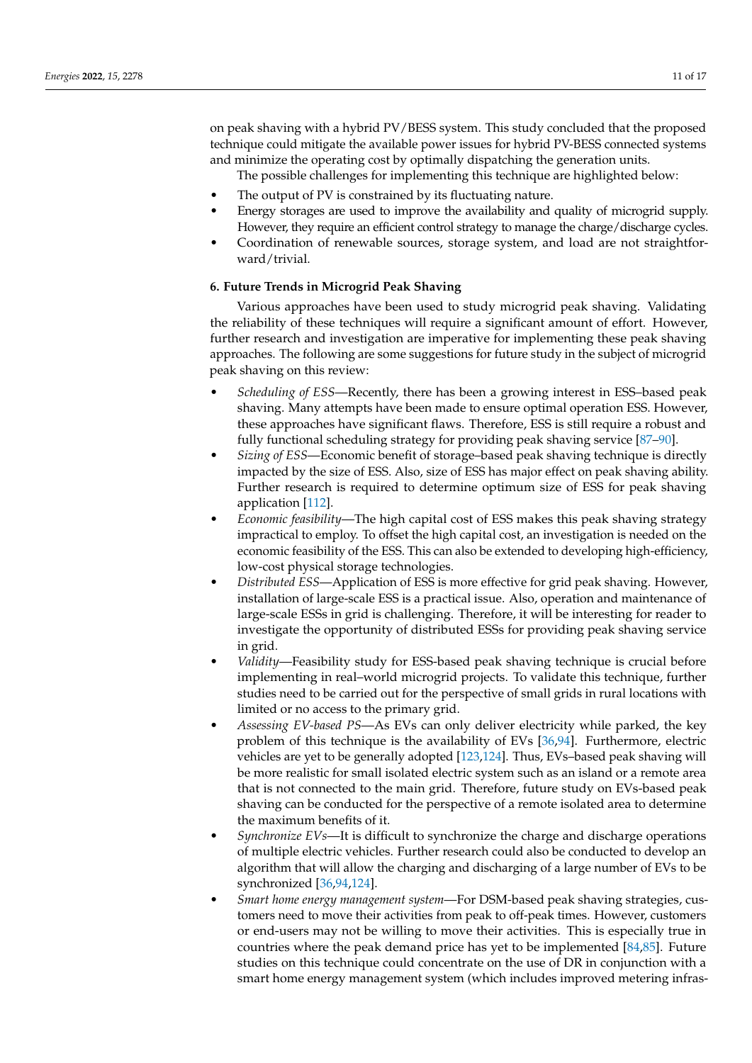on peak shaving with a hybrid PV/BESS system. This study concluded that the proposed technique could mitigate the available power issues for hybrid PV-BESS connected systems and minimize the operating cost by optimally dispatching the generation units.

The possible challenges for implementing this technique are highlighted below:

- The output of PV is constrained by its fluctuating nature.
- Energy storages are used to improve the availability and quality of microgrid supply. However, they require an efficient control strategy to manage the charge/discharge cycles.
- Coordination of renewable sources, storage system, and load are not straightforward/trivial.

# <span id="page-10-0"></span>**6. Future Trends in Microgrid Peak Shaving**

Various approaches have been used to study microgrid peak shaving. Validating the reliability of these techniques will require a significant amount of effort. However, further research and investigation are imperative for implementing these peak shaving approaches. The following are some suggestions for future study in the subject of microgrid peak shaving on this review:

- *Scheduling of ESS*—Recently, there has been a growing interest in ESS–based peak shaving. Many attempts have been made to ensure optimal operation ESS. However, these approaches have significant flaws. Therefore, ESS is still require a robust and fully functional scheduling strategy for providing peak shaving service [\[87–](#page-15-12)[90\]](#page-15-13).
- *Sizing of ESS*—Economic benefit of storage–based peak shaving technique is directly impacted by the size of ESS. Also, size of ESS has major effect on peak shaving ability. Further research is required to determine optimum size of ESS for peak shaving application [\[112\]](#page-16-8).
- *Economic feasibility*—The high capital cost of ESS makes this peak shaving strategy impractical to employ. To offset the high capital cost, an investigation is needed on the economic feasibility of the ESS. This can also be extended to developing high-efficiency, low-cost physical storage technologies.
- *Distributed ESS*—Application of ESS is more effective for grid peak shaving. However, installation of large-scale ESS is a practical issue. Also, operation and maintenance of large-scale ESSs in grid is challenging. Therefore, it will be interesting for reader to investigate the opportunity of distributed ESSs for providing peak shaving service in grid.
- *Validity*—Feasibility study for ESS-based peak shaving technique is crucial before implementing in real–world microgrid projects. To validate this technique, further studies need to be carried out for the perspective of small grids in rural locations with limited or no access to the primary grid.
- *Assessing EV-based PS*—As EVs can only deliver electricity while parked, the key problem of this technique is the availability of EVs [\[36,](#page-13-14)[94\]](#page-15-17). Furthermore, electric vehicles are yet to be generally adopted [\[123](#page-16-17)[,124\]](#page-16-18). Thus, EVs–based peak shaving will be more realistic for small isolated electric system such as an island or a remote area that is not connected to the main grid. Therefore, future study on EVs-based peak shaving can be conducted for the perspective of a remote isolated area to determine the maximum benefits of it.
- *Synchronize EVs*—It is difficult to synchronize the charge and discharge operations of multiple electric vehicles. Further research could also be conducted to develop an algorithm that will allow the charging and discharging of a large number of EVs to be synchronized [\[36](#page-13-14)[,94](#page-15-17)[,124\]](#page-16-18).
- *Smart home energy management system*—For DSM-based peak shaving strategies, customers need to move their activities from peak to off-peak times. However, customers or end-users may not be willing to move their activities. This is especially true in countries where the peak demand price has yet to be implemented [\[84,](#page-15-9)[85\]](#page-15-10). Future studies on this technique could concentrate on the use of DR in conjunction with a smart home energy management system (which includes improved metering infras-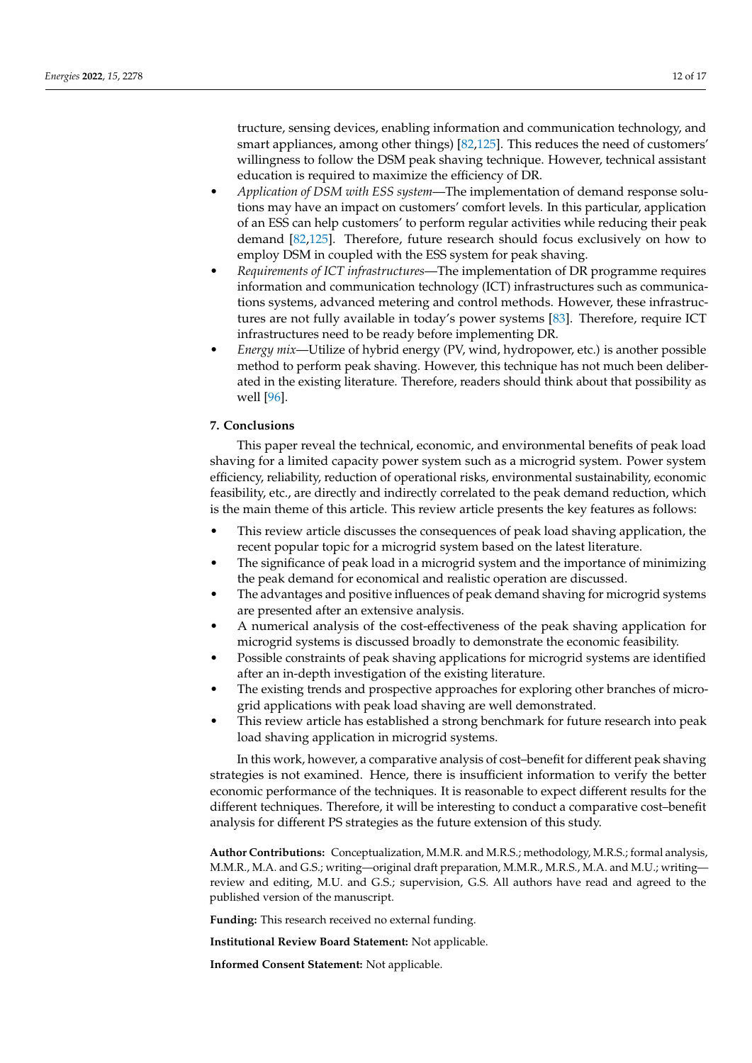tructure, sensing devices, enabling information and communication technology, and smart appliances, among other things) [\[82](#page-15-7)[,125\]](#page-16-19). This reduces the need of customers' willingness to follow the DSM peak shaving technique. However, technical assistant education is required to maximize the efficiency of DR.

- *Application of DSM with ESS system*—The implementation of demand response solutions may have an impact on customers' comfort levels. In this particular, application of an ESS can help customers' to perform regular activities while reducing their peak demand [\[82](#page-15-7)[,125\]](#page-16-19). Therefore, future research should focus exclusively on how to employ DSM in coupled with the ESS system for peak shaving.
- *Requirements of ICT infrastructures*—The implementation of DR programme requires information and communication technology (ICT) infrastructures such as communications systems, advanced metering and control methods. However, these infrastructures are not fully available in today's power systems [\[83\]](#page-15-8). Therefore, require ICT infrastructures need to be ready before implementing DR.
- *Energy mix*—Utilize of hybrid energy (PV, wind, hydropower, etc.) is another possible method to perform peak shaving. However, this technique has not much been deliberated in the existing literature. Therefore, readers should think about that possibility as well [\[96\]](#page-15-19).

# **7. Conclusions**

This paper reveal the technical, economic, and environmental benefits of peak load shaving for a limited capacity power system such as a microgrid system. Power system efficiency, reliability, reduction of operational risks, environmental sustainability, economic feasibility, etc., are directly and indirectly correlated to the peak demand reduction, which is the main theme of this article. This review article presents the key features as follows:

- This review article discusses the consequences of peak load shaving application, the recent popular topic for a microgrid system based on the latest literature.
- The significance of peak load in a microgrid system and the importance of minimizing the peak demand for economical and realistic operation are discussed.
- The advantages and positive influences of peak demand shaving for microgrid systems are presented after an extensive analysis.
- A numerical analysis of the cost-effectiveness of the peak shaving application for microgrid systems is discussed broadly to demonstrate the economic feasibility.
- Possible constraints of peak shaving applications for microgrid systems are identified after an in-depth investigation of the existing literature.
- The existing trends and prospective approaches for exploring other branches of microgrid applications with peak load shaving are well demonstrated.
- This review article has established a strong benchmark for future research into peak load shaving application in microgrid systems.

In this work, however, a comparative analysis of cost–benefit for different peak shaving strategies is not examined. Hence, there is insufficient information to verify the better economic performance of the techniques. It is reasonable to expect different results for the different techniques. Therefore, it will be interesting to conduct a comparative cost–benefit analysis for different PS strategies as the future extension of this study.

**Author Contributions:** Conceptualization, M.M.R. and M.R.S.; methodology, M.R.S.; formal analysis, M.M.R., M.A. and G.S.; writing—original draft preparation, M.M.R., M.R.S., M.A. and M.U.; writing review and editing, M.U. and G.S.; supervision, G.S. All authors have read and agreed to the published version of the manuscript.

**Funding:** This research received no external funding.

**Institutional Review Board Statement:** Not applicable.

**Informed Consent Statement:** Not applicable.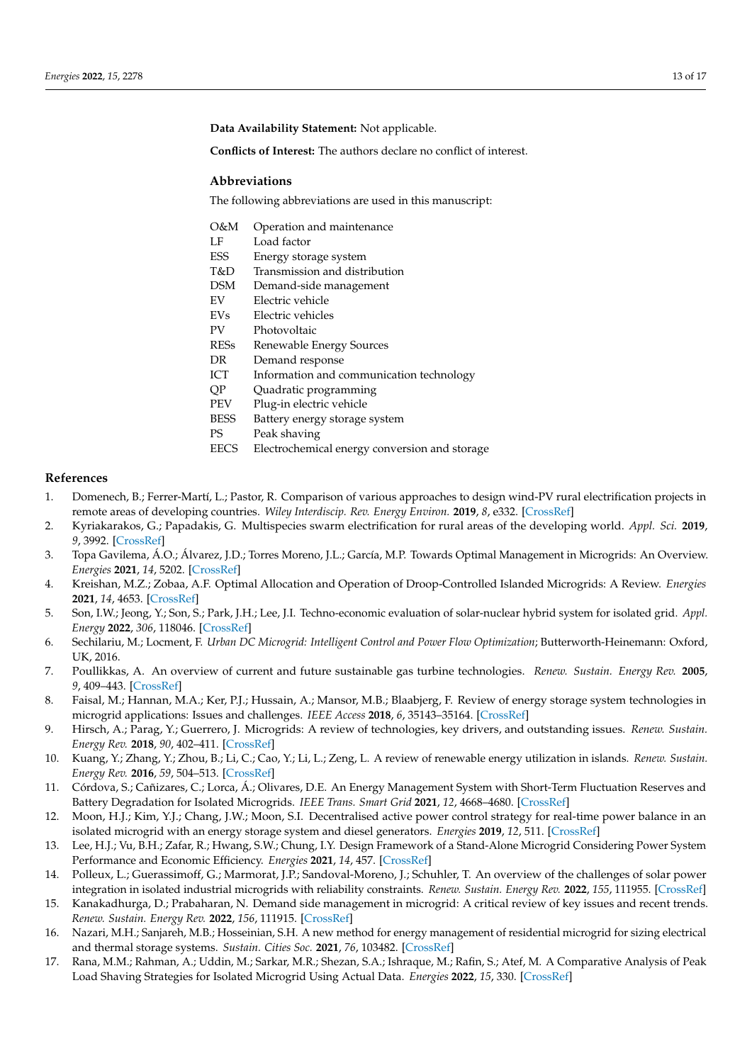**Data Availability Statement:** Not applicable.

**Conflicts of Interest:** The authors declare no conflict of interest.

## **Abbreviations**

The following abbreviations are used in this manuscript:

- O&M Operation and maintenance
- LF Load factor
- ESS Energy storage system
- T&D Transmission and distribution
- DSM Demand-side management
- EV Electric vehicle
- EVs Electric vehicles
- PV Photovoltaic
- RESs Renewable Energy Sources
- DR Demand response
- ICT Information and communication technology
- QP Quadratic programming
- PEV Plug-in electric vehicle
- BESS Battery energy storage system
- PS Peak shaving
- EECS Electrochemical energy conversion and storage

# **References**

- <span id="page-12-0"></span>1. Domenech, B.; Ferrer-Martí, L.; Pastor, R. Comparison of various approaches to design wind-PV rural electrification projects in remote areas of developing countries. *Wiley Interdiscip. Rev. Energy Environ.* **2019**, *8*, e332. [\[CrossRef\]](http://doi.org/10.1002/wene.332)
- <span id="page-12-1"></span>2. Kyriakarakos, G.; Papadakis, G. Multispecies swarm electrification for rural areas of the developing world. *Appl. Sci.* **2019**, *9*, 3992. [\[CrossRef\]](http://dx.doi.org/10.3390/app9193992)
- <span id="page-12-2"></span>3. Topa Gavilema, Á.O.; Álvarez, J.D.; Torres Moreno, J.L.; García, M.P. Towards Optimal Management in Microgrids: An Overview. *Energies* **2021**, *14*, 5202. [\[CrossRef\]](http://dx.doi.org/10.3390/en14165202)
- 4. Kreishan, M.Z.; Zobaa, A.F. Optimal Allocation and Operation of Droop-Controlled Islanded Microgrids: A Review. *Energies* **2021**, *14*, 4653. [\[CrossRef\]](http://dx.doi.org/10.3390/en14154653)
- <span id="page-12-3"></span>5. Son, I.W.; Jeong, Y.; Son, S.; Park, J.H.; Lee, J.I. Techno-economic evaluation of solar-nuclear hybrid system for isolated grid. *Appl. Energy* **2022**, *306*, 118046. [\[CrossRef\]](http://dx.doi.org/10.1016/j.apenergy.2021.118046)
- <span id="page-12-4"></span>6. Sechilariu, M.; Locment, F. *Urban DC Microgrid: Intelligent Control and Power Flow Optimization*; Butterworth-Heinemann: Oxford, UK, 2016.
- <span id="page-12-5"></span>7. Poullikkas, A. An overview of current and future sustainable gas turbine technologies. *Renew. Sustain. Energy Rev.* **2005**, *9*, 409–443. [\[CrossRef\]](http://dx.doi.org/10.1016/j.rser.2004.05.009)
- <span id="page-12-6"></span>8. Faisal, M.; Hannan, M.A.; Ker, P.J.; Hussain, A.; Mansor, M.B.; Blaabjerg, F. Review of energy storage system technologies in microgrid applications: Issues and challenges. *IEEE Access* **2018**, *6*, 35143–35164. [\[CrossRef\]](http://dx.doi.org/10.1109/ACCESS.2018.2841407)
- 9. Hirsch, A.; Parag, Y.; Guerrero, J. Microgrids: A review of technologies, key drivers, and outstanding issues. *Renew. Sustain. Energy Rev.* **2018**, *90*, 402–411. [\[CrossRef\]](http://dx.doi.org/10.1016/j.rser.2018.03.040)
- <span id="page-12-7"></span>10. Kuang, Y.; Zhang, Y.; Zhou, B.; Li, C.; Cao, Y.; Li, L.; Zeng, L. A review of renewable energy utilization in islands. *Renew. Sustain. Energy Rev.* **2016**, *59*, 504–513. [\[CrossRef\]](http://dx.doi.org/10.1016/j.rser.2016.01.014)
- <span id="page-12-8"></span>11. Córdova, S.; Cañizares, C.; Lorca, Á.; Olivares, D.E. An Energy Management System with Short-Term Fluctuation Reserves and Battery Degradation for Isolated Microgrids. *IEEE Trans. Smart Grid* **2021**, *12*, 4668–4680. [\[CrossRef\]](http://dx.doi.org/10.1109/TSG.2021.3103783)
- 12. Moon, H.J.; Kim, Y.J.; Chang, J.W.; Moon, S.I. Decentralised active power control strategy for real-time power balance in an isolated microgrid with an energy storage system and diesel generators. *Energies* **2019**, *12*, 511. [\[CrossRef\]](http://dx.doi.org/10.3390/en12030511)
- <span id="page-12-9"></span>13. Lee, H.J.; Vu, B.H.; Zafar, R.; Hwang, S.W.; Chung, I.Y. Design Framework of a Stand-Alone Microgrid Considering Power System Performance and Economic Efficiency. *Energies* **2021**, *14*, 457. [\[CrossRef\]](http://dx.doi.org/10.3390/en14020457)
- <span id="page-12-10"></span>14. Polleux, L.; Guerassimoff, G.; Marmorat, J.P.; Sandoval-Moreno, J.; Schuhler, T. An overview of the challenges of solar power integration in isolated industrial microgrids with reliability constraints. *Renew. Sustain. Energy Rev.* **2022**, *155*, 111955. [\[CrossRef\]](http://dx.doi.org/10.1016/j.rser.2021.111955)
- <span id="page-12-11"></span>15. Kanakadhurga, D.; Prabaharan, N. Demand side management in microgrid: A critical review of key issues and recent trends. *Renew. Sustain. Energy Rev.* **2022**, *156*, 111915. [\[CrossRef\]](http://dx.doi.org/10.1016/j.rser.2021.111915)
- <span id="page-12-12"></span>16. Nazari, M.H.; Sanjareh, M.B.; Hosseinian, S.H. A new method for energy management of residential microgrid for sizing electrical and thermal storage systems. *Sustain. Cities Soc.* **2021**, *76*, 103482. [\[CrossRef\]](http://dx.doi.org/10.1016/j.scs.2021.103482)
- <span id="page-12-13"></span>17. Rana, M.M.; Rahman, A.; Uddin, M.; Sarkar, M.R.; Shezan, S.A.; Ishraque, M.; Rafin, S.; Atef, M. A Comparative Analysis of Peak Load Shaving Strategies for Isolated Microgrid Using Actual Data. *Energies* **2022**, *15*, 330. [\[CrossRef\]](http://dx.doi.org/10.3390/en15010330)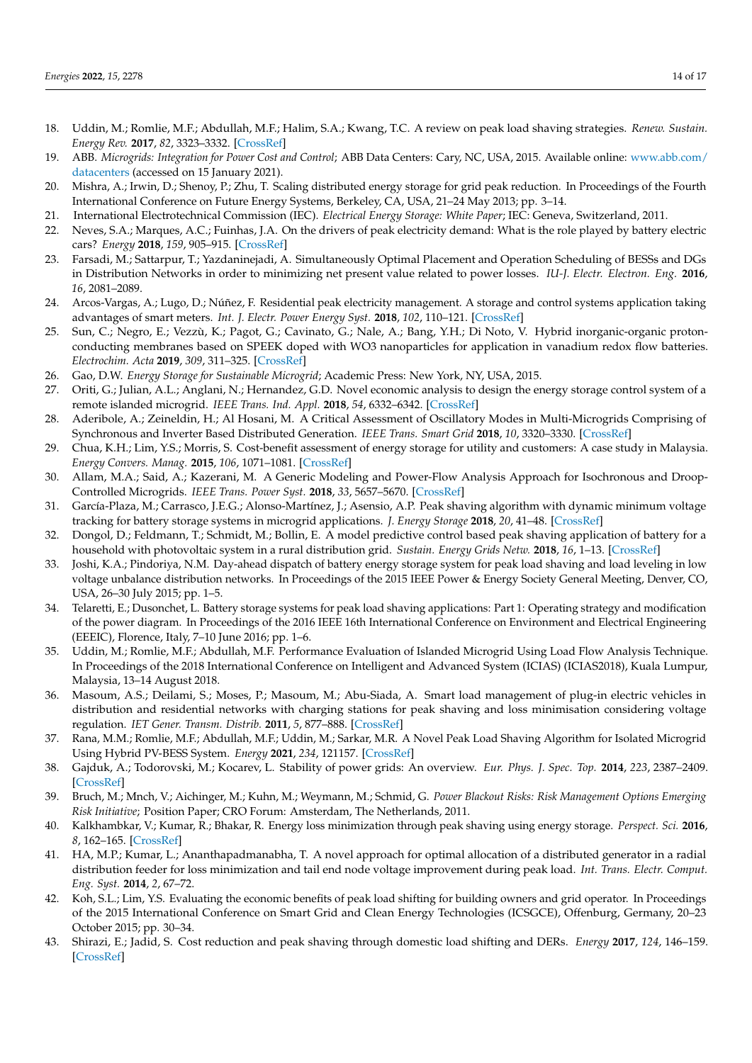- <span id="page-13-0"></span>18. Uddin, M.; Romlie, M.F.; Abdullah, M.F.; Halim, S.A.; Kwang, T.C. A review on peak load shaving strategies. *Renew. Sustain. Energy Rev.* **2017**, *82*, 3323–3332. [\[CrossRef\]](http://dx.doi.org/10.1016/j.rser.2017.10.056)
- <span id="page-13-1"></span>19. ABB. *Microgrids: Integration for Power Cost and Control*; ABB Data Centers: Cary, NC, USA, 2015. Available online: [www.abb.com/](www.abb.com/datacenters) [datacenters](www.abb.com/datacenters) (accessed on 15 January 2021).
- <span id="page-13-2"></span>20. Mishra, A.; Irwin, D.; Shenoy, P.; Zhu, T. Scaling distributed energy storage for grid peak reduction. In Proceedings of the Fourth International Conference on Future Energy Systems, Berkeley, CA, USA, 21–24 May 2013; pp. 3–14.
- <span id="page-13-3"></span>21. International Electrotechnical Commission (IEC). *Electrical Energy Storage: White Paper*; IEC: Geneva, Switzerland, 2011.
- <span id="page-13-4"></span>22. Neves, S.A.; Marques, A.C.; Fuinhas, J.A. On the drivers of peak electricity demand: What is the role played by battery electric cars? *Energy* **2018**, *159*, 905–915. [\[CrossRef\]](http://dx.doi.org/10.1016/j.energy.2018.06.209)
- <span id="page-13-5"></span>23. Farsadi, M.; Sattarpur, T.; Yazdaninejadi, A. Simultaneously Optimal Placement and Operation Scheduling of BESSs and DGs in Distribution Networks in order to minimizing net present value related to power losses. *IU-J. Electr. Electron. Eng.* **2016**, *16*, 2081–2089.
- <span id="page-13-6"></span>24. Arcos-Vargas, A.; Lugo, D.; Núñez, F. Residential peak electricity management. A storage and control systems application taking advantages of smart meters. *Int. J. Electr. Power Energy Syst.* **2018**, *102*, 110–121. [\[CrossRef\]](http://dx.doi.org/10.1016/j.ijepes.2018.04.016)
- <span id="page-13-7"></span>25. Sun, C.; Negro, E.; Vezzù, K.; Pagot, G.; Cavinato, G.; Nale, A.; Bang, Y.H.; Di Noto, V. Hybrid inorganic-organic protonconducting membranes based on SPEEK doped with WO3 nanoparticles for application in vanadium redox flow batteries. *Electrochim. Acta* **2019**, *309*, 311–325. [\[CrossRef\]](http://dx.doi.org/10.1016/j.electacta.2019.03.056)
- <span id="page-13-8"></span>26. Gao, D.W. *Energy Storage for Sustainable Microgrid*; Academic Press: New York, NY, USA, 2015.
- <span id="page-13-9"></span>27. Oriti, G.; Julian, A.L.; Anglani, N.; Hernandez, G.D. Novel economic analysis to design the energy storage control system of a remote islanded microgrid. *IEEE Trans. Ind. Appl.* **2018**, *54*, 6332–6342. [\[CrossRef\]](http://dx.doi.org/10.1109/TIA.2018.2853041)
- <span id="page-13-10"></span>28. Aderibole, A.; Zeineldin, H.; Al Hosani, M. A Critical Assessment of Oscillatory Modes in Multi-Microgrids Comprising of Synchronous and Inverter Based Distributed Generation. *IEEE Trans. Smart Grid* **2018**, *10*, 3320–3330. [\[CrossRef\]](http://dx.doi.org/10.1109/TSG.2018.2824330)
- <span id="page-13-23"></span>29. Chua, K.H.; Lim, Y.S.; Morris, S. Cost-benefit assessment of energy storage for utility and customers: A case study in Malaysia. *Energy Convers. Manag.* **2015**, *106*, 1071–1081. [\[CrossRef\]](http://dx.doi.org/10.1016/j.enconman.2015.10.041)
- 30. Allam, M.A.; Said, A.; Kazerani, M. A Generic Modeling and Power-Flow Analysis Approach for Isochronous and Droop-Controlled Microgrids. *IEEE Trans. Power Syst.* **2018**, *33*, 5657–5670. [\[CrossRef\]](http://dx.doi.org/10.1109/TPWRS.2018.2820059)
- <span id="page-13-22"></span>31. García-Plaza, M.; Carrasco, J.E.G.; Alonso-Martínez, J.; Asensio, A.P. Peak shaving algorithm with dynamic minimum voltage tracking for battery storage systems in microgrid applications. *J. Energy Storage* **2018**, *20*, 41–48. [\[CrossRef\]](http://dx.doi.org/10.1016/j.est.2018.08.021)
- 32. Dongol, D.; Feldmann, T.; Schmidt, M.; Bollin, E. A model predictive control based peak shaving application of battery for a household with photovoltaic system in a rural distribution grid. *Sustain. Energy Grids Netw.* **2018**, *16*, 1–13. [\[CrossRef\]](http://dx.doi.org/10.1016/j.segan.2018.05.001)
- <span id="page-13-11"></span>33. Joshi, K.A.; Pindoriya, N.M. Day-ahead dispatch of battery energy storage system for peak load shaving and load leveling in low voltage unbalance distribution networks. In Proceedings of the 2015 IEEE Power & Energy Society General Meeting, Denver, CO, USA, 26–30 July 2015; pp. 1–5.
- <span id="page-13-12"></span>34. Telaretti, E.; Dusonchet, L. Battery storage systems for peak load shaving applications: Part 1: Operating strategy and modification of the power diagram. In Proceedings of the 2016 IEEE 16th International Conference on Environment and Electrical Engineering (EEEIC), Florence, Italy, 7–10 June 2016; pp. 1–6.
- <span id="page-13-13"></span>35. Uddin, M.; Romlie, M.F.; Abdullah, M.F. Performance Evaluation of Islanded Microgrid Using Load Flow Analysis Technique. In Proceedings of the 2018 International Conference on Intelligent and Advanced System (ICIAS) (ICIAS2018), Kuala Lumpur, Malaysia, 13–14 August 2018.
- <span id="page-13-14"></span>36. Masoum, A.S.; Deilami, S.; Moses, P.; Masoum, M.; Abu-Siada, A. Smart load management of plug-in electric vehicles in distribution and residential networks with charging stations for peak shaving and loss minimisation considering voltage regulation. *IET Gener. Transm. Distrib.* **2011**, *5*, 877–888. [\[CrossRef\]](http://dx.doi.org/10.1049/iet-gtd.2010.0574)
- <span id="page-13-15"></span>37. Rana, M.M.; Romlie, M.F.; Abdullah, M.F.; Uddin, M.; Sarkar, M.R. A Novel Peak Load Shaving Algorithm for Isolated Microgrid Using Hybrid PV-BESS System. *Energy* **2021**, *234*, 121157. [\[CrossRef\]](http://dx.doi.org/10.1016/j.energy.2021.121157)
- <span id="page-13-16"></span>38. Gajduk, A.; Todorovski, M.; Kocarev, L. Stability of power grids: An overview. *Eur. Phys. J. Spec. Top.* **2014**, *223*, 2387–2409. [\[CrossRef\]](http://dx.doi.org/10.1140/epjst/e2014-02212-1)
- <span id="page-13-17"></span>39. Bruch, M.; Mnch, V.; Aichinger, M.; Kuhn, M.; Weymann, M.; Schmid, G. *Power Blackout Risks: Risk Management Options Emerging Risk Initiative*; Position Paper; CRO Forum: Amsterdam, The Netherlands, 2011.
- <span id="page-13-18"></span>40. Kalkhambkar, V.; Kumar, R.; Bhakar, R. Energy loss minimization through peak shaving using energy storage. *Perspect. Sci.* **2016**, *8*, 162–165. [\[CrossRef\]](http://dx.doi.org/10.1016/j.pisc.2016.04.022)
- <span id="page-13-19"></span>41. HA, M.P.; Kumar, L.; Ananthapadmanabha, T. A novel approach for optimal allocation of a distributed generator in a radial distribution feeder for loss minimization and tail end node voltage improvement during peak load. *Int. Trans. Electr. Comput. Eng. Syst.* **2014**, *2*, 67–72.
- <span id="page-13-20"></span>42. Koh, S.L.; Lim, Y.S. Evaluating the economic benefits of peak load shifting for building owners and grid operator. In Proceedings of the 2015 International Conference on Smart Grid and Clean Energy Technologies (ICSGCE), Offenburg, Germany, 20–23 October 2015; pp. 30–34.
- <span id="page-13-21"></span>43. Shirazi, E.; Jadid, S. Cost reduction and peak shaving through domestic load shifting and DERs. *Energy* **2017**, *124*, 146–159. [\[CrossRef\]](http://dx.doi.org/10.1016/j.energy.2017.01.148)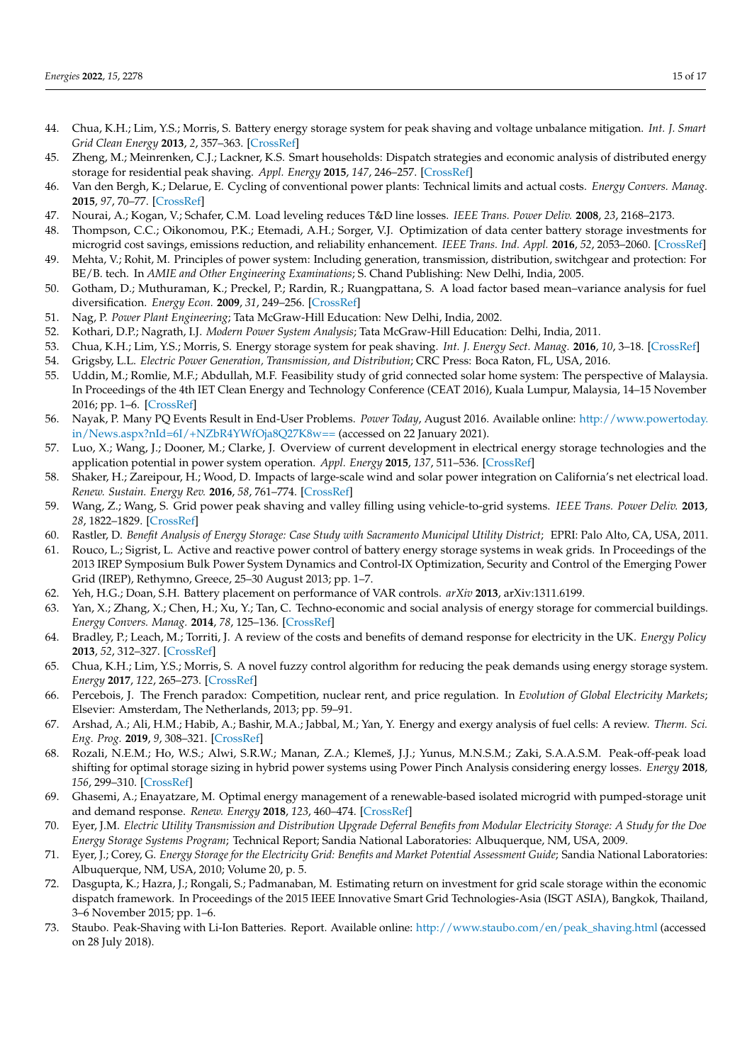- 44. Chua, K.H.; Lim, Y.S.; Morris, S. Battery energy storage system for peak shaving and voltage unbalance mitigation. *Int. J. Smart Grid Clean Energy* **2013**, *2*, 357–363. [\[CrossRef\]](http://dx.doi.org/10.12720/sgce.2.3.357-363)
- <span id="page-14-0"></span>45. Zheng, M.; Meinrenken, C.J.; Lackner, K.S. Smart households: Dispatch strategies and economic analysis of distributed energy storage for residential peak shaving. *Appl. Energy* **2015**, *147*, 246–257. [\[CrossRef\]](http://dx.doi.org/10.1016/j.apenergy.2015.02.039)
- <span id="page-14-1"></span>46. Van den Bergh, K.; Delarue, E. Cycling of conventional power plants: Technical limits and actual costs. *Energy Convers. Manag.* **2015**, *97*, 70–77. [\[CrossRef\]](http://dx.doi.org/10.1016/j.enconman.2015.03.026)
- <span id="page-14-2"></span>47. Nourai, A.; Kogan, V.; Schafer, C.M. Load leveling reduces T&D line losses. *IEEE Trans. Power Deliv.* **2008**, *23*, 2168–2173.
- <span id="page-14-3"></span>48. Thompson, C.C.; Oikonomou, P.K.; Etemadi, A.H.; Sorger, V.J. Optimization of data center battery storage investments for microgrid cost savings, emissions reduction, and reliability enhancement. *IEEE Trans. Ind. Appl.* **2016**, *52*, 2053–2060. [\[CrossRef\]](http://dx.doi.org/10.1109/TIA.2016.2517149)
- <span id="page-14-4"></span>49. Mehta, V.; Rohit, M. Principles of power system: Including generation, transmission, distribution, switchgear and protection: For BE/B. tech. In *AMIE and Other Engineering Examinations*; S. Chand Publishing: New Delhi, India, 2005.
- 50. Gotham, D.; Muthuraman, K.; Preckel, P.; Rardin, R.; Ruangpattana, S. A load factor based mean–variance analysis for fuel diversification. *Energy Econ.* **2009**, *31*, 249–256. [\[CrossRef\]](http://dx.doi.org/10.1016/j.eneco.2008.10.004)
- 51. Nag, P. *Power Plant Engineering*; Tata McGraw-Hill Education: New Delhi, India, 2002.
- <span id="page-14-5"></span>52. Kothari, D.P.; Nagrath, I.J. *Modern Power System Analysis*; Tata McGraw-Hill Education: Delhi, India, 2011.
- <span id="page-14-6"></span>53. Chua, K.H.; Lim, Y.S.; Morris, S. Energy storage system for peak shaving. *Int. J. Energy Sect. Manag.* **2016**, *10*, 3–18. [\[CrossRef\]](http://dx.doi.org/10.1108/IJESM-01-2015-0003)
- <span id="page-14-7"></span>54. Grigsby, L.L. *Electric Power Generation, Transmission, and Distribution*; CRC Press: Boca Raton, FL, USA, 2016.
- <span id="page-14-8"></span>55. Uddin, M.; Romlie, M.F.; Abdullah, M.F. Feasibility study of grid connected solar home system: The perspective of Malaysia. In Proceedings of the 4th IET Clean Energy and Technology Conference (CEAT 2016), Kuala Lumpur, Malaysia, 14–15 November 2016; pp. 1–6. [\[CrossRef\]](http://dx.doi.org/10.1049/cp.2016.1341)
- <span id="page-14-9"></span>56. Nayak, P. Many PQ Events Result in End-User Problems. *Power Today*, August 2016. Available online: [http://www.powertoday.](http://www.powertoday.in/News.aspx?nId=6I/+NZbR4YWfOja8Q27K8w==) [in/News.aspx?nId=6I/+NZbR4YWfOja8Q27K8w==](http://www.powertoday.in/News.aspx?nId=6I/+NZbR4YWfOja8Q27K8w==) (accessed on 22 January 2021).
- <span id="page-14-10"></span>57. Luo, X.; Wang, J.; Dooner, M.; Clarke, J. Overview of current development in electrical energy storage technologies and the application potential in power system operation. *Appl. Energy* **2015**, *137*, 511–536. [\[CrossRef\]](http://dx.doi.org/10.1016/j.apenergy.2014.09.081)
- <span id="page-14-11"></span>58. Shaker, H.; Zareipour, H.; Wood, D. Impacts of large-scale wind and solar power integration on California's net electrical load. *Renew. Sustain. Energy Rev.* **2016**, *58*, 761–774. [\[CrossRef\]](http://dx.doi.org/10.1016/j.rser.2015.12.287)
- <span id="page-14-12"></span>59. Wang, Z.; Wang, S. Grid power peak shaving and valley filling using vehicle-to-grid systems. *IEEE Trans. Power Deliv.* **2013**, *28*, 1822–1829. [\[CrossRef\]](http://dx.doi.org/10.1109/TPWRD.2013.2264497)
- <span id="page-14-13"></span>60. Rastler, D. *Benefit Analysis of Energy Storage: Case Study with Sacramento Municipal Utility District*; EPRI: Palo Alto, CA, USA, 2011.
- 61. Rouco, L.; Sigrist, L. Active and reactive power control of battery energy storage systems in weak grids. In Proceedings of the 2013 IREP Symposium Bulk Power System Dynamics and Control-IX Optimization, Security and Control of the Emerging Power Grid (IREP), Rethymno, Greece, 25–30 August 2013; pp. 1–7.
- <span id="page-14-14"></span>62. Yeh, H.G.; Doan, S.H. Battery placement on performance of VAR controls. *arXiv* **2013**, arXiv:1311.6199.
- <span id="page-14-15"></span>63. Yan, X.; Zhang, X.; Chen, H.; Xu, Y.; Tan, C. Techno-economic and social analysis of energy storage for commercial buildings. *Energy Convers. Manag.* **2014**, *78*, 125–136. [\[CrossRef\]](http://dx.doi.org/10.1016/j.enconman.2013.10.014)
- <span id="page-14-16"></span>64. Bradley, P.; Leach, M.; Torriti, J. A review of the costs and benefits of demand response for electricity in the UK. *Energy Policy* **2013**, *52*, 312–327. [\[CrossRef\]](http://dx.doi.org/10.1016/j.enpol.2012.09.039)
- <span id="page-14-17"></span>65. Chua, K.H.; Lim, Y.S.; Morris, S. A novel fuzzy control algorithm for reducing the peak demands using energy storage system. *Energy* **2017**, *122*, 265–273. [\[CrossRef\]](http://dx.doi.org/10.1016/j.energy.2017.01.063)
- <span id="page-14-18"></span>66. Percebois, J. The French paradox: Competition, nuclear rent, and price regulation. In *Evolution of Global Electricity Markets*; Elsevier: Amsterdam, The Netherlands, 2013; pp. 59–91.
- <span id="page-14-19"></span>67. Arshad, A.; Ali, H.M.; Habib, A.; Bashir, M.A.; Jabbal, M.; Yan, Y. Energy and exergy analysis of fuel cells: A review. *Therm. Sci. Eng. Prog.* **2019**, *9*, 308–321. [\[CrossRef\]](http://dx.doi.org/10.1016/j.tsep.2018.12.008)
- <span id="page-14-20"></span>68. Rozali, N.E.M.; Ho, W.S.; Alwi, S.R.W.; Manan, Z.A.; Klemeš, J.J.; Yunus, M.N.S.M.; Zaki, S.A.A.S.M. Peak-off-peak load shifting for optimal storage sizing in hybrid power systems using Power Pinch Analysis considering energy losses. *Energy* **2018**, *156*, 299–310. [\[CrossRef\]](http://dx.doi.org/10.1016/j.energy.2018.05.020)
- <span id="page-14-21"></span>69. Ghasemi, A.; Enayatzare, M. Optimal energy management of a renewable-based isolated microgrid with pumped-storage unit and demand response. *Renew. Energy* **2018**, *123*, 460–474. [\[CrossRef\]](http://dx.doi.org/10.1016/j.renene.2018.02.072)
- <span id="page-14-22"></span>70. Eyer, J.M. *Electric Utility Transmission and Distribution Upgrade Deferral Benefits from Modular Electricity Storage: A Study for the Doe Energy Storage Systems Program*; Technical Report; Sandia National Laboratories: Albuquerque, NM, USA, 2009.
- 71. Eyer, J.; Corey, G. *Energy Storage for the Electricity Grid: Benefits and Market Potential Assessment Guide*; Sandia National Laboratories: Albuquerque, NM, USA, 2010; Volume 20, p. 5.
- <span id="page-14-23"></span>72. Dasgupta, K.; Hazra, J.; Rongali, S.; Padmanaban, M. Estimating return on investment for grid scale storage within the economic dispatch framework. In Proceedings of the 2015 IEEE Innovative Smart Grid Technologies-Asia (ISGT ASIA), Bangkok, Thailand, 3–6 November 2015; pp. 1–6.
- <span id="page-14-24"></span>73. Staubo. Peak-Shaving with Li-Ion Batteries. Report. Available online: [http://www.staubo.com/en/peak\\_shaving.html](http://www.staubo.com/en/peak_shaving.html) (accessed on 28 July 2018).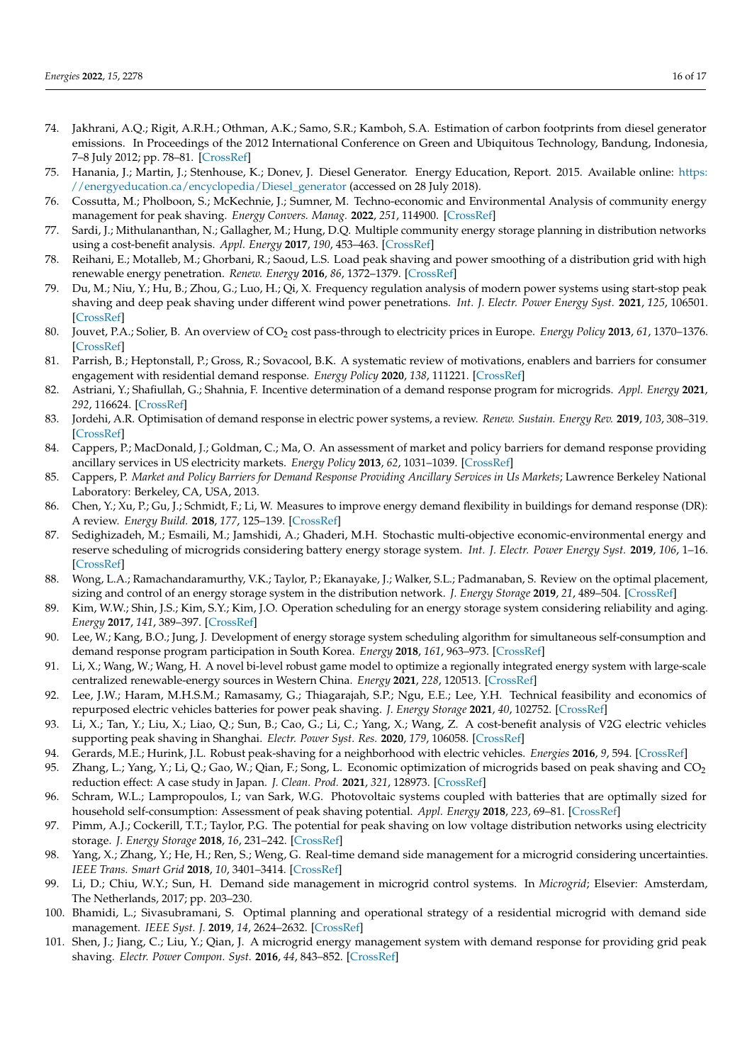- <span id="page-15-0"></span>74. Jakhrani, A.Q.; Rigit, A.R.H.; Othman, A.K.; Samo, S.R.; Kamboh, S.A. Estimation of carbon footprints from diesel generator emissions. In Proceedings of the 2012 International Conference on Green and Ubiquitous Technology, Bandung, Indonesia, 7–8 July 2012; pp. 78–81. [\[CrossRef\]](http://dx.doi.org/10.1109/GUT.2012.6344193)
- 75. Hanania, J.; Martin, J.; Stenhouse, K.; Donev, J. Diesel Generator. Energy Education, Report. 2015. Available online: [https:](https://energyeducation.ca/encyclopedia/Diesel_generator) [//energyeducation.ca/encyclopedia/Diesel\\_generator](https://energyeducation.ca/encyclopedia/Diesel_generator) (accessed on 28 July 2018).
- <span id="page-15-1"></span>76. Cossutta, M.; Pholboon, S.; McKechnie, J.; Sumner, M. Techno-economic and Environmental Analysis of community energy management for peak shaving. *Energy Convers. Manag.* **2022**, *251*, 114900. [\[CrossRef\]](http://dx.doi.org/10.1016/j.enconman.2021.114900)
- <span id="page-15-2"></span>77. Sardi, J.; Mithulananthan, N.; Gallagher, M.; Hung, D.Q. Multiple community energy storage planning in distribution networks using a cost-benefit analysis. *Appl. Energy* **2017**, *190*, 453–463. [\[CrossRef\]](http://dx.doi.org/10.1016/j.apenergy.2016.12.144)
- <span id="page-15-3"></span>78. Reihani, E.; Motalleb, M.; Ghorbani, R.; Saoud, L.S. Load peak shaving and power smoothing of a distribution grid with high renewable energy penetration. *Renew. Energy* **2016**, *86*, 1372–1379. [\[CrossRef\]](http://dx.doi.org/10.1016/j.renene.2015.09.050)
- <span id="page-15-4"></span>79. Du, M.; Niu, Y.; Hu, B.; Zhou, G.; Luo, H.; Qi, X. Frequency regulation analysis of modern power systems using start-stop peak shaving and deep peak shaving under different wind power penetrations. *Int. J. Electr. Power Energy Syst.* **2021**, *125*, 106501. [\[CrossRef\]](http://dx.doi.org/10.1016/j.ijepes.2020.106501)
- <span id="page-15-5"></span>80. Jouvet, P.A.; Solier, B. An overview of CO<sub>2</sub> cost pass-through to electricity prices in Europe. *Energy Policy* 2013, 61, 1370–1376. [\[CrossRef\]](http://dx.doi.org/10.1016/j.enpol.2013.05.090)
- <span id="page-15-6"></span>81. Parrish, B.; Heptonstall, P.; Gross, R.; Sovacool, B.K. A systematic review of motivations, enablers and barriers for consumer engagement with residential demand response. *Energy Policy* **2020**, *138*, 111221. [\[CrossRef\]](http://dx.doi.org/10.1016/j.enpol.2019.111221)
- <span id="page-15-7"></span>82. Astriani, Y.; Shafiullah, G.; Shahnia, F. Incentive determination of a demand response program for microgrids. *Appl. Energy* **2021**, *292*, 116624. [\[CrossRef\]](http://dx.doi.org/10.1016/j.apenergy.2021.116624)
- <span id="page-15-8"></span>83. Jordehi, A.R. Optimisation of demand response in electric power systems, a review. *Renew. Sustain. Energy Rev.* **2019**, *103*, 308–319. [\[CrossRef\]](http://dx.doi.org/10.1016/j.rser.2018.12.054)
- <span id="page-15-9"></span>84. Cappers, P.; MacDonald, J.; Goldman, C.; Ma, O. An assessment of market and policy barriers for demand response providing ancillary services in US electricity markets. *Energy Policy* **2013**, *62*, 1031–1039. [\[CrossRef\]](http://dx.doi.org/10.1016/j.enpol.2013.08.003)
- <span id="page-15-10"></span>85. Cappers, P. *Market and Policy Barriers for Demand Response Providing Ancillary Services in Us Markets*; Lawrence Berkeley National Laboratory: Berkeley, CA, USA, 2013.
- <span id="page-15-11"></span>86. Chen, Y.; Xu, P.; Gu, J.; Schmidt, F.; Li, W. Measures to improve energy demand flexibility in buildings for demand response (DR): A review. *Energy Build.* **2018**, *177*, 125–139. [\[CrossRef\]](http://dx.doi.org/10.1016/j.enbuild.2018.08.003)
- <span id="page-15-12"></span>87. Sedighizadeh, M.; Esmaili, M.; Jamshidi, A.; Ghaderi, M.H. Stochastic multi-objective economic-environmental energy and reserve scheduling of microgrids considering battery energy storage system. *Int. J. Electr. Power Energy Syst.* **2019**, *106*, 1–16. [\[CrossRef\]](http://dx.doi.org/10.1016/j.ijepes.2018.09.037)
- 88. Wong, L.A.; Ramachandaramurthy, V.K.; Taylor, P.; Ekanayake, J.; Walker, S.L.; Padmanaban, S. Review on the optimal placement, sizing and control of an energy storage system in the distribution network. *J. Energy Storage* **2019**, *21*, 489–504. [\[CrossRef\]](http://dx.doi.org/10.1016/j.est.2018.12.015)
- 89. Kim, W.W.; Shin, J.S.; Kim, S.Y.; Kim, J.O. Operation scheduling for an energy storage system considering reliability and aging. *Energy* **2017**, *141*, 389–397. [\[CrossRef\]](http://dx.doi.org/10.1016/j.energy.2017.09.091)
- <span id="page-15-13"></span>90. Lee, W.; Kang, B.O.; Jung, J. Development of energy storage system scheduling algorithm for simultaneous self-consumption and demand response program participation in South Korea. *Energy* **2018**, *161*, 963–973. [\[CrossRef\]](http://dx.doi.org/10.1016/j.energy.2018.07.190)
- <span id="page-15-14"></span>91. Li, X.; Wang, W.; Wang, H. A novel bi-level robust game model to optimize a regionally integrated energy system with large-scale centralized renewable-energy sources in Western China. *Energy* **2021**, *228*, 120513. [\[CrossRef\]](http://dx.doi.org/10.1016/j.energy.2021.120513)
- <span id="page-15-15"></span>92. Lee, J.W.; Haram, M.H.S.M.; Ramasamy, G.; Thiagarajah, S.P.; Ngu, E.E.; Lee, Y.H. Technical feasibility and economics of repurposed electric vehicles batteries for power peak shaving. *J. Energy Storage* **2021**, *40*, 102752. [\[CrossRef\]](http://dx.doi.org/10.1016/j.est.2021.102752)
- <span id="page-15-16"></span>93. Li, X.; Tan, Y.; Liu, X.; Liao, Q.; Sun, B.; Cao, G.; Li, C.; Yang, X.; Wang, Z. A cost-benefit analysis of V2G electric vehicles supporting peak shaving in Shanghai. *Electr. Power Syst. Res.* **2020**, *179*, 106058. [\[CrossRef\]](http://dx.doi.org/10.1016/j.epsr.2019.106058)
- <span id="page-15-17"></span>94. Gerards, M.E.; Hurink, J.L. Robust peak-shaving for a neighborhood with electric vehicles. *Energies* **2016**, *9*, 594. [\[CrossRef\]](http://dx.doi.org/10.3390/en9080594)
- <span id="page-15-18"></span>95. Zhang, L.; Yang, Y.; Li, Q.; Gao, W.; Qian, F.; Song, L. Economic optimization of microgrids based on peak shaving and  $CO<sub>2</sub>$ reduction effect: A case study in Japan. *J. Clean. Prod.* **2021**, *321*, 128973. [\[CrossRef\]](http://dx.doi.org/10.1016/j.jclepro.2021.128973)
- <span id="page-15-19"></span>96. Schram, W.L.; Lampropoulos, I.; van Sark, W.G. Photovoltaic systems coupled with batteries that are optimally sized for household self-consumption: Assessment of peak shaving potential. *Appl. Energy* **2018**, *223*, 69–81. [\[CrossRef\]](http://dx.doi.org/10.1016/j.apenergy.2018.04.023)
- <span id="page-15-20"></span>97. Pimm, A.J.; Cockerill, T.T.; Taylor, P.G. The potential for peak shaving on low voltage distribution networks using electricity storage. *J. Energy Storage* **2018**, *16*, 231–242. [\[CrossRef\]](http://dx.doi.org/10.1016/j.est.2018.02.002)
- <span id="page-15-21"></span>98. Yang, X.; Zhang, Y.; He, H.; Ren, S.; Weng, G. Real-time demand side management for a microgrid considering uncertainties. *IEEE Trans. Smart Grid* **2018**, *10*, 3401–3414. [\[CrossRef\]](http://dx.doi.org/10.1109/TSG.2018.2825388)
- 99. Li, D.; Chiu, W.Y.; Sun, H. Demand side management in microgrid control systems. In *Microgrid*; Elsevier: Amsterdam, The Netherlands, 2017; pp. 203–230.
- <span id="page-15-22"></span>100. Bhamidi, L.; Sivasubramani, S. Optimal planning and operational strategy of a residential microgrid with demand side management. *IEEE Syst. J.* **2019**, *14*, 2624–2632. [\[CrossRef\]](http://dx.doi.org/10.1109/JSYST.2019.2918410)
- <span id="page-15-23"></span>101. Shen, J.; Jiang, C.; Liu, Y.; Qian, J. A microgrid energy management system with demand response for providing grid peak shaving. *Electr. Power Compon. Syst.* **2016**, *44*, 843–852. [\[CrossRef\]](http://dx.doi.org/10.1080/15325008.2016.1138344)